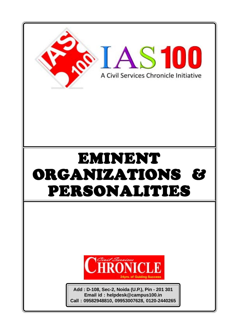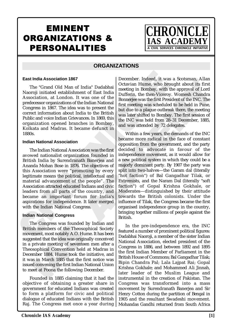# EMINENT ORGANIZATIONS & PERSONALITIES

**CHRONIC IAS ACADE CIVIL SERVICES CHRONICLE INITIATIVE** 

# **ORGANIZATIONS**

#### **East India Association 1867**

The "Grand Old Man of India" Dadabhai Naoroji initiated establishment of East India Association, at London. It was one of the predecessor organizations of the Indian National Congress in 1867. The idea was to present the correct information about India to the British Public and voice Indian Grievances. In 1869, this organization opened branches in Bombay, Kolkata and Madras. It became defunct in 1880s.

### **Indian National Association**

**East India Association 1867**<br>
The "Grand Old Man of India" Dadabhal<br>
Nation Correspondent Intensity with National Posteroidino, at London. It was one of the High m Bombary, with Association and to the material positive p The Indian National Association was the first avowed nationalist organization founded in British India by Surendranath Banerjea and Ananda Mohan Bose in 1876. The objectives of this Association were "promoting by every legitimate means the political, intellectual and material advancement of the people". The Association attracted educated Indians and civic leaders from all parts of the country, and became an important forum for India's aspirations for independence. It later merged with the Indian National Congress.

### **Indian National Congress**

The Congress was founded by<br>sh members of the Theosophi<br>ement, most notably A.O. Hume<br>gested that the idea was originally<br>private meeting of seventeen r<br>osophical Convention held at<br>ember 1884. Hume took the init<br>as in Mar The Congress was founded by I<br>sh members of the Theosophic<br>ement, most notably A.O. Hume.<br>ested that the idea was originally<br>private meeting of seventeen m<br>sophical Convention held at l<br>mber 1884. Hume took the initius<br>in The Congress was founded by Indian and British members of the Theosophical Society movement, most notably A.O. Hume. It has been suggested that the idea was originally conceived in a private meeting of seventeen men after a Theosophical Convention held at Madras in December 1884. Hume took the initiative, and it was in March 1885 that the first notice was issued convening the first Indian National Union to meet at Poona the following December.

Founded in 1885 claiming that it had the objective of obtaining a greater share in government for educated Indians was created to form a platform for civic and political dialogue of educated Indians with the British Raj. The Congress met once a year during

December. Indeed, it was a Scotsman, Allan Octavian Hume, who brought about its first meeting in Bombay, with the approval of Lord Dufferin, the then-Viceroy. Womesh Chandra Bonnerjee was the first President of the INC. The first meeting was scheduled to be held in Pune, but due to a plague outbreak there, the meeting was later shifted to Bombay. The first session of the INC was held from 28–31 December, 1885, and was attended by 72 delegates.

1867 December. Indeed, it was<br>
lan of India" Dadabhai Ductavian Hume, who bro<br>
Dilishment of East India Ducting in Bombay, with t<br>
on. It was one of the Dufferin, the then-Viceroy<br>
inso fthe Indian National<br>
idea was to pr andia" Dadabhai <br>
December. Intease, it was a secondan, Alline, who brought about its first<br>
and an all meeting in Bombay, with the approval of Lord<br>
was one of the Dufferin, the then-Viceroy. Womesh Chandra<br>
was one of th Within a few years, the demands of the INC became more radical in the face of constant opposition from the government, and the party decided to advocate in favour of the independence movement, as it would allow for a new political system in which they could be a majorly dominant party. By 1907 the party was split into two-halves—the Garam dal (literally "hot faction") of Bal Gangadhar Tilak, or Extremists, and the Naram Dal (literally "soft faction") of Gopal Krishna Gokhale, or Moderates—distinguished by their attitude towards the British colonists. Under the influence of Tilak, the Congress became the first organised independence group in the country, bringing together millions of people against the British.

> In the pre-independence era, the INC featured a number of prominent political figures: Dadabhai Naoroji, a member of the sister Indian National Association, elected president of the Congress in 1886, and between 1892 and 1895 the first Indian Member of Parliament in the British House of Commons; Bal Gangadhar Tilak; Bipin Chandra Pal; Lala Lajpat Rai; Gopal Krishna Gokhale; and Mohammed Ali Jinnah, later leader of the Muslim League and instrumental in the creation of Pakistan. The Congress was transformed into a mass movement by Surendranath Banerjea and Sir Henry Cotton during the partition of Bengal in 1905 and the resultant Swadeshi movement. Mohandas Gandhi returned from South Africa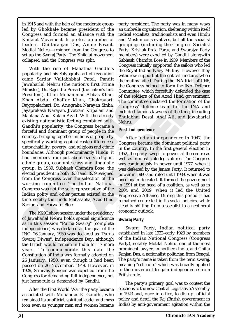in 1915 and with the help of the moderate group led by Ghokhale became president of the Congress and formed an alliance with the Khilafat Movement. In protest a number of leaders—Chittaranjan Das, Annie Besant, Motilal Nehru—resigned from the Congress to set up the Swaraj Party. The Khilafat movement collapsed and the Congress was split.

With the rise of Mahatma Candhi's Uouges mually supported popularity and his Skyagramian Sard of revolution with<br>the Royal Indian Navy Mu popularity and is Sardyagraha art of revolution<br>of the Royal Indian Navy Mu came Sa Mahatma Gandhi's<br>
He Royal Indian Navy Mutigralia art of revolution<br>
the Royal Indian Navy Mutigraha art of revolution<br>
the Royal Indian Navy Mutigrate and the compression of the Congress helped to for<br>
Prasad (the nation' With the rise of Mahatma Gandhi's popularity and his Satyagraha art of revolution came Sardar Vallabhbhai Patel, Pandit Jawaharlal Nehru (the nation's first Prime Minister), Dr. Rajendra Prasad (the nation's first President), Khan Mohammad Abbas Khan, Khan Abdul Ghaffar Khan, Chakravarti Rajgopalachari, Dr. Anugraha Narayan Sinha, Jayaprakash Narayan, Jivatram Kripalani and Maulana Abul Kalam Azad. With the already existing nationalistic feeling combined with Gandhi's popularity, the Congress became a forceful and dominant group of people in the country, bringing together millions of people by specifically working against caste differences, untouchability, poverty, and religious and ethnic boundaries. Although predominantly Hindu, it had members from just about every religion, ethnic group, economic class and linguistic group. In 1939, Subhash Chandra Bose, the elected president in both 1938 and 1939 resigned from the Congress over the selection of the working committee. The Indian National Congress was not the sole representative of the Indian polity and other parties existed at the time, notably the Hindu Mahasabha, Azad Hind Sarkar, and Forward Bloc.

vanarial Nenru notas special si<br>this session "Purna Swaraj"<br>endence) was declared as the g<br>26 January, 1930 was declared<br>aj Diwas", Independence Day,<br>ritish would remain in India fo<br>... To commemorate this<br>itution of India valiatial ivelia hotas special signal<br>this session "Purna Swaraj" (<br>endence) was declared as the g<br>26 January, 1930 was declared is<br>it Diwas", Independence Day,<br>itish would remain in India for<br>. To commemorate this<br>itution The 1929 Lahore session under the presidency of Jawaharlal Nehru holds special significance as in this session "Purna Swaraj" (complete independence) was declared as the goal of the INC. 26 January, 1930 was declared as "Purna Swaraj Diwas", Independence Day, although the British would remain in India for 17 more years. To commemorate this date the Constitution of India was formally adopted on 26 January, 1950, even though it had been passed on 26 November, 1949. However, in 1929, Srinivas Iyenger was expelled from the Congress for demanding full independence, not just home rule as demanded by Gandhi.

After the First World War the party became associated with Mohandas K. Gandhi, who remained its unofficial, spiritual leader and mass icon even as younger men and women became

party president. The party was in many ways an umbrella organization, sheltering within itself radical socialists, traditionalists and even Hindu and Muslim conservatives, but all the socialist groupings (including the Congress Socialist Party, Krishak Praja Party, and Swarajya Party members) were expelled by Gandhi alongwith Subhash Chandra Bose in 1939. Members of the Congress initially supported the sailors who led the Royal Indian Navy Mutiny. However they withdrew support at the critical juncture, when the mutiny failed. During the INA trials of 1946, the Congress helped to form the INA Defence Committee, which forcefully defended the case of the soldiers of the Azad Hind government. The committee declared the formation of the Congress' defence team for the INA and included famous lawyers of the time, including Bhulabhai Desai, Asaf Ali, and Jawaharlal Nehru.

### *Post-independence*

To revolution<br>
Patel, Pandit<br>
Patel, Pandit<br>
Patel, Pandit<br>
meutiny failed. During the INA Defence<br>
he mation's first<br>
the Congress helped to form the INA Defence<br>
he nation's first<br>
committee, which forcefully defended th After Indian independence in 1947, the Congress became the dominant political party in the country. In the first general election in 1952, the party swept to power at the centre as well as in most state legislatures. The Congress was continuously in power until 1977, when it was defeated by the Janata Party. It returned to power in 1980 and ruled until 1989, when it was once again defeated. It formed the government in 1991 at the head of a coalition, as well as in 2004 and 2009, when it led the United Progressive Alliance. During this period it has remained centre-left in its social policies, while steadily shifting from a socialist to a neoliberal economic outlook.

# **Swaraj Party**

Swaraj Party, Indian political party established in late 1922–early 1923 by members of the Indian National Congress (Congress Party), notably Motilal Nehru, one of the most prominent lawyers in northern India, and Chitta Ranjan Das, a nationalist politician from Bengal. The party's name is taken from the term swaraj, meaning "self-rule," which was broadly applied to the movement to gain independence from British rule.

The party's primary goal was to contest the elections to the new Central Legislative Assembly in 1923 and, once in office, to disrupt official policy and derail the Raj (British government in India) by anti-government agitation within the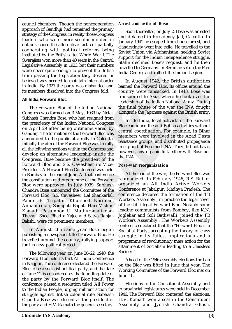council chambers. Though the noncooperation approach of Gandhiji had remained the primary strategy of the Congress, in reality those Congress leaders who were more secular-minded in outlook chose the alternative tactic of partially cooperating with political reforms being instituted by the British after World War I. The Swarajists won more than 40 seats in the Central Legislative Assembly in 1923, but their numbers were never quite enough to prevent the British from passing the legislation they desired or believed was needed to maintain internal order in India. By 1927 the party was disbanded and its members dissolved into the Congress fold.

### **All India Forward Bloc**

were never quie enougli to pevent the minimal increane the particle of the minimal of behindered was medeled to maintain increand behinder in August 1942, the same like in the minimal of the minimal of the minimal of the m Frame of the Briston (Fig. 2013)<br>
and the Satisfaction they desired or anitation internal order and rallied the maintain internal order in August 1942, the arty was disbanded and banned the Forward Bloc. I<br>
not the Congres The Forward Bloc of the Indian National Congress was formed on 3 May, 1939 by Netaji Subhash Chandra Bose, who had resigned from the presidency of the Indian National Congress on April 29 after being outmaneuvered by Gandhiji. The formation of the Forward Bloc was announced to the public at a rally in Calcutta. Initially the aim of the Forward Bloc was to rally all the left wing sections within the Congress and develop an alternative leadership inside the Congress. Bose became the president of the Forward Bloc and S.S. Cavesheer its Vice-President. A Forward Bloc Conference was held in Bombay in the end of June. At that conference the constitution and programme of the Forward Bloc were approved. In July 1939, Subhash Chandra Bose announced the Committee of the Forward Bloc S.S. Cavesheer, Lal Shankarlal, Pandit B. Tripathi, Khurshed Nariman, Annapurniah, Senapati Bapat, Hari Vishnu Kamath, Pasumpon U. Muthuramalingam Thevar Sheel Bhadra Yajee and Satya Ranjan Bakshi, were its prominent members.

In August, the same year Bose began publishing a newspaper titled Forward Bloc. He travelled around the country, rallying support for his new political project.

In August, the same year B<br>
ishing a newspaper titled Forwa<br>
elled around the country, rally<br>
is new political project.<br>
The following year, on June 20–2<br>
ard Bloc held its first All India<br>
agpur. The conference declared t n August, the same year Bc<br>shing a newspaper titled Forwar<br>lled around the country, rallyir<br>is new political project.<br>he following year, on June 20–22<br>ard Bloc held its first All India<br>igpur. The conference declared th<br>to The following year, on June 20–22, 1940, the Forward Bloc held its first All India Conference in Nagpur. The conference declared the Forward Bloc to be a socialist political party, and the date of June 22 is considered as the founding date of the party by the Forward Bloc itself. The conference passed a resolution titled 'All Power to the Indian People', urging militant action for struggle against British colonial rule. Subhash Chandra Bose was elected as the president of the party and H.V. Kamath the general secretary.

### *Arrest and exile of Bose*

Soon thereafter, on July 2, Bose was arrested and detained in Presidency Jail, Calcutta. In January 1941 he escaped from house arrest, and clandestinely went into exile. He travelled to the Soviet Union via Afghanistan, seeking Soviet support for the Indian independence struggle. Stalin declined Bose's request, and he then travelled to Germany. In Berlin he set up the Free India Centre, and rallied the Indian Legion.

In August 1942, the British authorities banned the Forward Bloc. Its offices around the country were ransacked. In 1943, Bose was transported to Asia, where he took over the leadership of the Indian National Army. During the final phase of the war the INA fought alongside the Japanese against the British army.

Inside India, local activists of the Forward Bloc continued the anti-British activities without central coordination. For example, in Bihar members were involved in the Azad Dasta resistance groups, and distributed propaganda in support of Bose and INA. They did not have, however, any organic link either with Bose nor the INA.

### *Post-war reorganization*

in internal order and hanned the Forward Bloc. Its offices around the solisbanded and hanned the Forward Bloc. Its offices around the mass transported to Asia, where he took over the indian National Army. During indian Na At the end of the war, the Forward Bloc was reorganized. In February 1946, R.S. Ruiker organized an All India Active Workers Conference at Jabalpur, Madhya Pradesh. The conference declared the formation of the 'FB Workers Assembly', in practice the legal cover of the still illegal Forward Bloc. Notably some leading communists from Bombay, like K.N. Joglekar and Soli Batliwalli, joined the 'FB Workers Assembly'. The Workers Assembly conference declared that the "Forward Bloc is a Socialist Party, accepting the theory of class struggle in its fullest implications and a programme of revolutionary mass action for the attainment of Socialism leading to a Classless Society."

> Ahead of the 1946 assembly elections the ban on the Bloc was lifted in June that year. The Working Committee of the Forward Bloc met on June 10.

> Elections to the Constituent Assembly and to provincial legislatures were held in December 1946. The Forward Bloc contested the elections. H.V. Kamath won a seat in the Constituent Assembly and Jyotish Chandra Ghosh,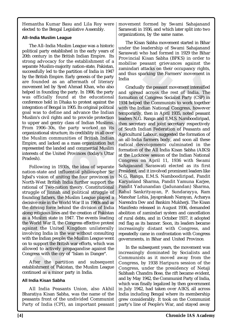Hemantha Kumar Basu and Lila Roy were elected to the Bengal Legislative Assembly.

# **All–India Muslim League**

separate Muslim mangruly nation-state, Pakistan i<br>successfully led to the partition of India in 1947<br>successfully led to the partition of India in 1947<br>amindari attacks on their<br>by the British Empire. Early genesis of the The All–India Muslim League was a historic political party established in the early years of 20th century in the British Indian Empire. Its strong advocacy for the establishment of a separate Muslim-majority nation-state, Pakistan, successfully led to the partition of India in 1947 by the British Empire. Early genesis of the party are founded as an aftermath of literary movement led by Syed Ahmad Khan, who also helped in founding the party. In 1906, the party was officially found at the educational conference held in Dhaka to protest against the integration of Bengal in 1905. Its original political goal was to define and advance the Indian Muslim's civil rights and to provide protection to upper and gentry class of Indian Muslims. From 1906–30s, the party worked on its organizational structure, its credibility in all over the Muslim communities of British Indian Empire, and lacked as a mass organization but represented the landed and commercial Muslim interests of the United Provinces (today's Uttar Pradesh).

Vidsini state in 1947. The event<br>
Vorld War II, the Congress effect<br>
st the United Kingdom ur<br>
ving India in the war without<br>
the Indian people; the Muslim Le<br>
support the British war efforts,<br>
red to actively propagandise Frashin state in 1917. The event<br>orld War II, the Congress effecti<br>st the United Kingdom un<br>ving India in the war without che Indian people; the Muslim Lea<br>support the British war efforts, veed to actively propagandise age Following in 1930s, the idea of separate nation-state and influential philosopher Sir Iqbal's vision of uniting the four provinces in North-West British India further support the rational of Two-nation theory. Constitutional struggle of Jinnah and political struggle of founding fathers, the Muslim League played a decisive role in the World War II in 1940s and as the driving force behind the division of India along religious lines and the creation of Pakistan as a Muslim state in 1947. The events leading the World War II, the Congress effective protest against the United Kingdom unilaterally involving India in the war without consulting with the Indian people; the Muslim League went on to support the British war efforts, which was allowed to actively propagandise against the Congress with the cry of "Islam in Danger".

After the partition and subsequent establishment of Pakistan, the Muslim League continued as a minor party in India.

# **All India Kisan Sabha**

All India Peasants Union, also Akhil Bharatiya Kisan Sabha, was the name of the peasants front of the undivided Communist Party of India (CPI), an important peasant

movement formed by Swami Sahajanand Saraswati in 1936, and which later split into two organizations, by the same name.

The Kisan Sabha movement started in Bihar under the leadership of Swami Sahajanand Saraswati who had formed in 1929 the Bihar Provincial Kisan Sabha (BPKS) in order to mobilise peasant grievances against the zamindari attacks on their occupancy rights, and thus sparking the Farmers' movement in India

Example the particular particular and thus sparking the Farming and thus sparking the Farming and thus sparking the Farming and the party and thus sparking the Farming and Expansion of Henry Ahmad Khan, who also are concep essis of the party<br>
and intitive and the spatially the peasant movement in the of literary<br>
Midia<br>
1906, the party<br>
and spread across the rest of India. The<br>
1906, the party<br>
1908 and spread across the rest of India. The<br> Gradually the peasant movement intensified and spread across the rest of India. The formation of Congress Socialist Party (CSP) in 1934 helped the Communists to work together with the Indian National Congress, however temporarily, then in April 1935, noted peasant leaders N.G. Ranga and E.M.S. Namboodiripad, then secretary and joint secretary respectively of South Indian Federation of Peasants and Agricultural Labour, suggested the formation of an all-India farmers body, and soon all these radical developments culminated in the formation of the All India Kisan Sabha (AIKS) at the Lucknow session of the Indian National Congress on April 11, 1936 with Swami Sahajanand Saraswati elected as its first President, and it involved prominent leaders like N.G. Ranga, E.M.S. Namboodiripad, Pandit Karyanand Sharma, Pandit Yamuna Karjee, Pandit Yadunandan (Jadunandan) Sharma, Rahul Sankrityayan, P. Sundarayya, Ram Manohar Lohia, Jayaprakash Narayan, Acharya Narendra Dev and Bankim Mukherji. The Kisan Manifesto released in August 1936, demanded abolition of zamindari system and cancellation of rural debts, and in October 1937, it adopted red flag as its banner. Soon, its leaders became increasingly distant with Congress, and repeatedly came in confrontation with Congress governments, in Bihar and United Province.

> In the subsequent years, the movement was increasingly dominated by Socialists and Communists as it moved away from the Congress, by 1938 Haripura session of the Congress, under the presidency of Netaji Subhash Chandra Bose, the rift became evident, and by May 1942, the Communist Party of India, which was finally legalized by then government in July 1942, had taken over AIKS, all across India including Bengal where its membership grew considerably. It took on the Communist party's line of People's War, and stayed away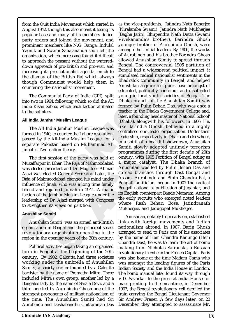from the Quit India Movement which started in August 1942, though this also meant it losing its popular base and many of its members defied party orders and joined the movement, and prominent members like N.G. Ranga, Indulal Yagnik and Swami Sahajananda soon left the organization, which increasing found it difficult to approach the peasant without the watereddown approach of pro-British and pro-war, and increasing its pro-nationalist agenda, much to the dismay of the British Raj which always though Communist would help them in countering the nationalist movement.

The Communist Party of India (CPI), split into two in 1964, following which so did the All India Kisan Sabha, which each faction affiliated to the splinters.

### **All India Jamhur Muslim League**

The All India Jamhur Muslim League was formed in 1940, to counter the Lahore resolution, passed by the All-India Muslim League, for a separate Pakistan based on Muhammad Ali Jinnah's Two nation theory.

The first session of the party was held at Muzaffarpur in Bihar. The Raja of Mahmoodabad was elected president and Dr. Maghfoor Ahmad Ajazi was elected General Secretary. Later, the Raja of Mahmoodabad changed his mind under influence of Jinah, who was a long time family friend and rejoined Jinnah in 1941. A major faction of the Jamhur Muslim League under the leadership of Dr. Ajazi merged with Congress to strengthen its views on partition.

# **Anushilan Samiti**

Anushilan Samiti was an armed anti-British organisation in Bengal and the principal secret revolutionary organization operating in the region in the opening years of the 20th century.

masinal bank was an amed<br>misation in Bengal and the prin<br>lutionary organization operat<br>m in the opening years of the 20<br>'olitical activities began taking an<br>in Bengal at the beginning c<br>ury. By 1902, Calcutta had throwing inisation in Bengal and the princ<br>
lutionary organization operat<br>
in the opening years of the 20<br>
olitical activities began taking an<br>
in Bengal at the beginning o<br>
in Bengal at the beginning o<br>
iny. By 1902, Calcutta had Political activities began taking an organised form in Bengal at the beginning of the 20th century. By 1902, Calcutta had three societies working under the umbrella of Anushilan Samity, a society earlier founded by a Calcutta barrister by the name of Pramatha Mitra. These included Mitra's own group, another led by a Bengalee lady by the name of Sarala Devi, and a third one led by Aurobindo Ghosh-one of the strongest proponents of militant nationalism of the time. The Anushilan Samiti had Sri Aurobindo and Deshabandhu Chittaranjan Das

increasing its pro-nationalist agenda, much be length and witespiese the dismay of the British Raj which always sitmulated radical national<br>though Communist would help them in Bhadrabok community in the Communist would he Density and the particular and the same of the particular and the control of the particle in the control of India (CPI), splite and the All and the All and the All and the All and the All and the All and the All and the Al Frament.<br>
Anushilan aquire a support base amongst of the current and advantad, politically conscious and disaffected<br>
enement.<br>
Action afflicted, exceeding in local youth societies of Bengal. The<br>
character in the Anushila as the vice-presidents. Jatindra Nath Banerjee (Niralamba Swami), Jatindra Nath Mukherjee (Bagha Jatin), Bhupendra Nath Datta (Swami Vivekananda's brother), Barindra Ghosh younger brother of Aurobindo Ghosh, were among other initial leaders. By 1906, the works of Aurobindo and his brother Barindra Ghosh allowed Anushilan Samity to spread through Bengal. The controversial 1905 partition of Bengal had a widespread political impact: it stimulated radical nationalist sentiments in the Bhadralok community in Bengal, and helped Anushilan acquire a support base amongst of educated, politically conscious and disaffected young in local youth societies of Bengal. The Dhaka branch of the Anushilan Samiti was formed by Pulin Behari Das, who was once a teacher in the Dhaka Government College and, later, a founding headmaster of 'National School' (Dhaka), alongwith his followers, in 1906. He, like Barindra Ghosh, believed in a highly centralised one-leader organization. Under their leadership, respectively in Dhaka and elsewhere, in a spirit of a boastful showdown, Anushilan Samiti slowly adopted untimely terrorism programmes during the first decade of 20th century, with 1905 Partition of Bengal acting as a major catalyst. The Dhaka branch of Anushilan was led by Pulin Behari Das and spread branches through East Bengal and Assam. Aurobindo and Bipin Chandra Pal, a Bengali politician, began in 1907 the radical Bengali nationalist publication of Jugantar, and its English counterpart Bande Mataram. Among the early recruits who emerged noted leaders where Rash Behari Bose, Jatindranath Mukherjee, and Jadugopal Mukherjee.

Anushilan, notably from early on, established links with foreign movements and Indian nationalism abroad. In 1907, Barin Ghosh arranged to send to Paris one of his associates by the name of Hem Chandra Kanungo (Hem Chandra Das), he was to learn the art of bomb making from Nicholas Safranski, a Russian revolutionary in exile in the French Capital. Paris was also home at the time Madam Cama who was amongst the leading figures of the Paris Indian Society and the India House in London. The bomb manual later found its way through V.D. Savarkar to the press at India House for mass printing. In the meantime, in December 1907, the Bengal revolutionary cell derailed the train carrying the Bengal Lieutenant Governor Sir Andrew Fraser. A few days later, on 23 December, they attempted to assassinate Mr.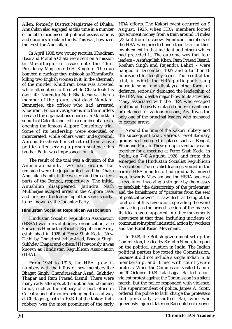Allen, formerly District Magistrate of Dhaka. Anushilan also engaged at this time in a number of notable incidences of political assassinations and dacoities to obtain funds. This was, however, the crest for Anushilan.

Presidency Magistrate D.H. Kingford. The duo hosina anigu and reason that a carriage they missiook as Kingsford's, limptisoned for lengthy emitted a function of the mutual both and the mutual both the HRA of the mutual bo D.H. Kingford. The duo<br>
mistook as Kingsford's,<br>
en in it. In the aftermath<br>
en in it. In the aftermath<br>
en in it. In the aftermath<br>
particular, in which the HRA<br>
am Bose was arrested<br>
by the Chaki took his<br>
consisted by t In April 1908, two young recruits, Khudiram Bose and Prafulla Chaki were sent on a mission to Muzaffarpur to assassinate the Chief Presidency Magistrate D.H. Kingford. The duo bombed a carriage they mistook as Kingsford's, killing two English women in it. In the aftermath of the murder, Khudiram Bose was arrested while attempting to flee, while Chaki took his own life. Narendra Nath Bhattacharya, then a member of the group, shot dead Nandalal Bannerjee, the officer who had arrested Khudiram. Police investigations into the murders revealed the organizations quarters in Manicktala suburb of Calcutta and led to a number of arrests, opening the famous Alipore Conspiracy trial. Some of its leadership were executed or incarcerated, while others went underground. Aurobindo Ghosh himself retired from active politics after serving a prison sentence, his brother Barin was imprisoned for life.

The result of the trial was a division of the Anushilan Samiti. Two main groups that remained were the Jugantar itself and the Dhaka Anushilan Samiti, in the western and the eastern parts of the Bengal, respectively. The initial Anushilan disappeared. Jatindra Nath Mukherjee escaped arrest in the Alipore case, and took over the leadership of the secret society, to be known as the Jugantar Party.

### **Hindustan Socialist Republican Association**

maustan Socialist Republican A<br>A) was a revolutionary organiz<br>n as Hindustan Socialist Republ<br>lished in 1928 at Feroz Shah K<br>by Chandrashekhar Azad, Bha<br>dev Thapar and others. [1] Previo<br>n as Hindustan Republican A<br>).<br>com A) was a revolutionary organization<br>A) was a revolutionary organization<br>as Hindustan Socialist Republished in 1928 at Feroz Shah K<br>by Chandrashekhar Azad, Bhag<br>lev Thapar and others. [1] Previou<br>in as Hindustan Republican Hindustan Socialist Republican Association (HSRA) was a revolutionary organization, also known as Hindustan Socialist Republican Army established in 1928 at Feroz Shah Kotla, New Delhi by Chandrashekhar Azad, Bhagat Singh, Sukhdev Thapar and others. [1] Previously it was known as Hindustan Republican Association  $(HRA)$ .

From 1924 to 1925, the HRA grew in numbers with the influx of new members like Bhagat Singh, Chandrasekhar Azad, Sukhdev Thapar and Ram Prasad Bismil. There were many early attempts at disruption and obtaining funds, such as the robbery of a post office in Calcutta and of monies belonging to a railway at Chittagong, both in 1923, but the Kakori train robbery was the most prominent of the early HRA efforts. The Kakori event occurred on 9 August, 1925, when HRA members looted government money from a train around 14 miles (23 km) from Lucknow. Significant members of the HRA were arrested and stood trial for their involvement in that incident and others which had preceded it. The outcome was that four leaders – Ashfaqullah Khan, Ram Prasad Bismil, Roshan Singh and Rajendra Lahiri – were hanged in December 1927 and a further 16 imprisoned for lengthy terms. The result of the trial, in which the HRA participants sang patriotic songs and displayed other forms of defiance, seriously damaged the leadership of the HRA and dealt a major blow to its activities. Many associated with the HRA who escaped trial found themselves placed under surveillance or detained for various reasons, Azad was the only one of the principal leaders who managed to escape arrest.

as Kingsforota<br>
In the aftermath<br>
In the afferent trial, in which the HRA participants and<br>
particlic songs and displayed other forms of<br>Chaki took his<br>
defiance, seriously damaged the leadership of<br>
chaki took his<br>
lead N Around the time of the Kakori robbery and the subsequent trial, various revolutionary groups had emerged in places such as Bengal, Bihar and Punjab. These groups eventually came together for a meeting at Feroz Shah Kotla, in Delhi, on 7–8 August, 1928, and from this emerged the Hindustan Socialist Republican Association. The socialist leanings voiced in the earlier HRA manifesto had gradually moved more towards Marxism and the HSRA spoke of a revolution involving a struggle by the masses to establish "the dictatorship of the proletariat" and the banishment of "parasites from the seat of political power". It saw itself as being at the forefront of this revolution, spreading the word and acting as the armed section of the masses. Its ideals were apparent in other movements elsewhere at that time, including incidents of communist-inspired industrial action by workers and the Rural Kisan Movement.

> In 1928, the British government set up the Commission, headed by Sir John Simon, to report on the political situation in India. The Indian political parties boycotted the Commission, because it did not include a single Indian in its membership, and it met with countrywide protests. When the Commission visited Lahore on 30 October, 1928, Lala Lajpat Rai led a nonviolent protest against the Commission in a silent march, but the police responded with violence. The superintendent of police, James A. Scott, ordered the police to lathi charge the protesters and personally assaulted Rai, who was grievously injured, later on Rai could not recover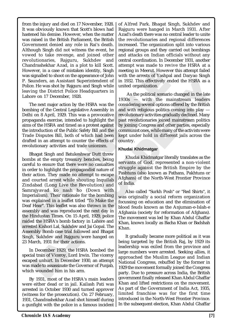from the injury and died on 17 November, 1928. It was obviously known that Scott's blows had hastened his demise. However, when the matter was raised in the British Parliament, the British Government denied any role in Rai's death. Although Singh did not witness the event, he vowed to take revenge, and joined other revolutionaries, Rajguru, Sukhdev and Chandrashekhar Azad, in a plot to kill Scott. However, in a case of mistaken identity, Singh was signalled to shoot on the appearance of John P. Saunders, an Assistant Superintendent of Police. He was shot by Rajguru and Singh while leaving the District Police Headquarters in Lahore on 17 December, 1928.

The next major action by the HSRA was the bombing of the Central Legislative Assembly in Delhi on 8 April, 1929. This was a provocative propaganda exercise, intended to highlight the aims of the HSRA and timed as a protest against the introduction of the Public Safety Bill and the Trade Disputes Bill, both of which had been drafted in an attempt to counter the effects of revolutionary activities and trade unionism.

From the same of initiate them that is the most and the same of solitic theorem. A assignated to shoot on the appearance of John with the arrests of Yashbar<br>P. Sauders, an Assistant Superintendent of in 1982. This effectiv Bhagat Singh and Batukeshwar Dutt threw bombs at the empty treasury benches, being careful to ensure that there were no casualties in order to highlight the propagandist nature of their action. They made no attempt to escape and courted arrest while shouting Inquilab Zindabad (Long Live the Revolution) and Samrajyavad ko nash ho (Down with Imperialism). Their rationale for the bombing was explained in a leaflet titled "To Make the Deaf Hear". This leaflet was also thrown in the assembly and was reproduced the next day in the Hindustan Times. On 15 April, 1929, police raided the HSRA's bomb factory in Lahore and arrested Kishori Lal, Sukhdev and Jai Gopal. The Assembly Bomb case trial followed and Bhagat Singh, Sukhdev and Rajguru were hanged on 23 March, 1931 for their actions.

ted Kishori Lal, Sukhdev and Jai<br>mbly Bomb case trial followed<br>h, Sukhdev and Rajguru were<br>farch, 1931 for their actions.<br>n December 1929, the HSRA b<br>al train of Viceroy, Lord Irwin.<br>bed unhurt. In December 1930,<br>made to a ted Kishori Lal, Sukhdev and Jai (mbly Bomb case trial followed a<br>1, Sukhdev and Rajguru were l<br>1, Sukhdev and Rajguru were l<br>1<br>arch, 1931 for their actions.<br>1<br>al train of Viceroy, Lord Irwin. T<br>1<br>ed unhurt. In December 19 In December 1929, the HSRA bombed the special train of Viceroy, Lord Irwin. The viceroy escaped unhurt. In December 1930, an attempt was made to assassinate the Governor of Punjab, which wounded him in his arm.

By 1931, most of the HSRA's main leaders were either dead or in jail. Kailash Pati was arrested in October 1930 and turned approver (witness for the prosecution). On 27 February, 1931, Chandrashekhar Azad shot himself during a gunfight with the police in a famous incident of Alfred Park. Bhagat Singh, Sukhdev and Rajguru were hanged in March 1931. After Azad's death there was no central leader to unite the revolutionaries and regional differences increased. The organization split into various regional groups and they carried out bombings and attacks on Indian officials without any central coordination. In December 1931, another attempt was made to revive the HSRA at a meeting in Meerut. However this attempt failed with the arrests of Yashpal and Daryao Singh in 1932. This effectively ended the HSRA as a united organization.

massaged med appearance of John with the arrests of Yashpa<br>
name appearance of John with the arrests of Yashpa<br>
Rajguru and Singh while<br>
Najguru and Singh while<br>
Najguru and Singh while<br>
Najguru and Singh while<br>
Discribent perintendent of<br>
in 1932. This effectively ended the HSRA as a<br>
ind Singh while<br>
inted organization.<br>
As the political scenario changed in the late<br>
eadquarters in<br>
1930s — with the mainstream leaders<br>
is a procesarior con As the political scenario changed in the late 1930s — with the mainstream leaders considering several options offered by the British and with religious politics coming into play revolutionary activities gradually declined. Many past revolutionaries joined mainstream politics by joining Congress and other parties, especially communist ones, while many of the activists were kept under hold in different jails across the country.

### **Khudai Khidmatgar**

Khudai Khidmatgar literally translates as the servants of God, represented a non-violent struggle against the British Empire by the Pashtuns (also known as Pathans, Pakhtuns or Afghans) of the North-West Frontier Province of India.

Also called "Surkh Posh" or "Red Shirts", it was originally a social reform organization focussing on education and the elimination of blood feuds known as the Anjuman-e-Islah-e Afghania (society for reformation of Afghans). The movement was led by Khan Abdul Ghaffar Khan, known locally as Bacha Khan or Badshah Khan.

It gradually became more political as it was being targeted by the British Raj, by 1929 its leadership was exiled from the province and large numbers were arrested. Seeking allies, it approached the Muslim League and Indian National Congress, rebuffed by the former in 1929 the movement formally joined the Congress party. Due to pressure across India, the British government finally released Khan Abdul Ghaffar Khan and lifted restrictions on the movement. As part of the Government of India Act, 1935, limited franchise was for the first time introduced in the North-West Frontier Province. In the subsequent election, Khan Abdul Ghaffar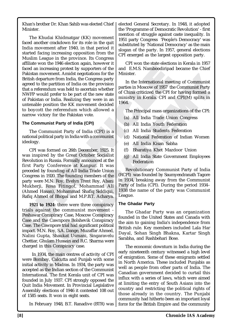Khan's brother Dr. Khan Sahib was elected Chief Minister.

est by supporters of the Minister.<br>
In the IM.S. Namboodiripad<br>
idst negotiations for the Minister.<br>
In the International meet<br>
eld to ascertain whether<br>
be part of the new state<br>
alizing they were in an<br>
International mee The Khudai Khidmatgar (KK) movement faced another crackdown for its role in the quit India movement after 1940, in that period it started facing increasing opposition from the Muslim League in the province. Its Congress affiliate won the 1946 election again, however it faced an increasing protest by supporters of the Pakistan movement. Amidst negotiations for the British departure from India, the Congress party agreed to the partition of India on the provision that a referendum was held to ascertain whether NWFP would prefer to be part of the new state of Pakistan or India. Realizing they were in an untenable position the KK movement decided to boycott the referendum which allowed a narrow victory for the Pakistan vote.

### **The Communist Party of India (CPI)**

The Communist Party of India (CPI) is a national political party in India with a communist ideology.

faced an increasing protest by supporters of the and E.M.S. Namboodiripa<br>
Pakitah movement. Amidst negotiations for the Minister.<br>
British departure from India, the Congress party<br>
British departure from India, the Congres CPI was formed on 26th December, 1925. It was inspired by the Great October Socialist Revolution in Russia. Formally announced at the first Party Conference at Kanpur. It was preceded by founding of All India Trade Union Congress in 1920. The founding members of the party were M.N. Roy, Evelyn Trent Roy, Abani Mukherji, Rosa Fitingof, Mohammad Ali (Ahmed Hasan), Mohammad Shafiq Siddiqui, Rafiq Ahmed of Bhopal and M.P.B.T. Acharya.

and the Cawnpore Bolshevik C<br>The Cawnpore trial had significa<br>t. M.N. Roy, S.A. Dange, Muzaff<br>ii Gupta, Shaukat Usmani, Sii<br>iar, Ghulam Hussain and R.C. Sh<br>ed in this Conspiracy case.<br>In 1934, the main centres of active<br>Bo and the Cawnpore Bolshevik C<br>The Cawnpore trial had significar<br>t. M.N. Roy, S.A. Dange, Muzaffa<br>i Gupta, Shaukat Usmani, Sin<br>ar, Ghulam Hussain and R.C. Sha<br>ed in this Conspiracy case.<br>n 1934, the main centres of activ<br>Bom **1921 to 1924:** there were three conspiracy trials against the communist movement - Peshawar Conspiracy Case, Moscow Conspiracy Case and the Cawnpore Bolshevik Conspiracy Case. The Cawnpore trial had significant political impact. M.N. Roy, S.A. Dange, Muzaffar Ahmed, Nalini Gupta, Shaukat Usmani, Singaravelu Chettiar, Ghulam Hussain and R.C. Sharma were charged in this Conspiracy case.

 In 1934, the main centres of activity of CPI were Bombay, Calcutta and Punjab with some initial activity in Madras. In 1934, the party was accepted as the Indian section of the Communist International. The first Kerala unit of CPI was founded in July 1937. CPI strongly opposed the Quit India Movement. In Provincial Legislative Assembly elections of 1946 it contested 108 out of 1585 seats. It won in eight seats.

elected General Secretary. In 1948, it adopted the 'Programme of Democratic Revolution' - first mention of struggle against caste inequality. In 1951 party Congress 'People's Democracy' was substituted by 'National Democracy' as the main slogan of the party. In 1957, general elections CPI emerged as the largest opposition party.

CPI won the state elections in Kerala in 1957 and E.M.S. Namboodiripad became the Chief Minister.

In the International meeting of Communist parties in Moscow of 1957 the Communist Party of China criticized the CPI for having formed a ministry in Kerala. CPI and CPI(M) splits in 1964.

The Principal mass organizations of the CPI:

- (a) All India Trade Union Congress
- (b) All India Youth Federation
- (c) All India Students Federation
- (d) National Federation of Indian Women
- (e) All India Kisan Sabha
- (f) Bharatiya Khet Mazdoor Union
- (g) All India State Government Employees Federation

Durations of the new state<br>
Congress party<br>
congress party<br>
congress party<br>
of China criticized the CPI for having formemist Party<br>
he he we state in Moscow of 1957 the Communist Party<br>
he new state of China criticized the Revolutionary Communist Party of India (RCPI) was founded by Saumyendranath Tagore in 1934, breaking away from the Communist Party of India (CPI). During the period 1934– 1938 the name of the party was Communist League.

### **The Ghadar Party**

The Ghadar Party was an organization founded in the United States and Canada with the aim to gaining India's independence from British rule. Key members included Lala Har Dayal, Sohan Singh Bhakna, Kartar Singh Sarabha, and Rashbehari Bose.

In February 1948, B.T. Ranadive (BTR) was | force for the British Empire and the community The economic downturn in India during the early nineteenth century witnessed a high level of emigration. Some of these emigrants settled in North America. These included Punjabis as well as people from other parts of India. The Canadian government decided to curtail this influx with a series of laws, which were aimed at limiting the entry of South Asians into the country and restricting the political rights of those already in the country. The Punjabi community had hitherto been an important loyal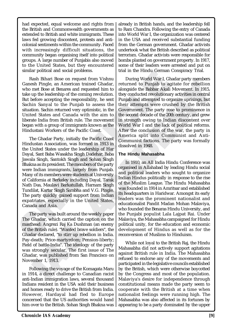had expected, equal welcome and rights from the British and Commonwealth governments as extended to British and white immigrants. These laws fed growing discontent, protests and anticolonial sentiments within the community. Faced with increasingly difficult situations, the community began organising itself into political groups. A large number of Punjabis also moved to the United States, but they encountered similar political and social problems.

Rash Bihari Bose on request from Vishnu Ganesh Pingle, an American trained Ghadar, who met Bose at Benares and requested him to take up the leadership of the coming revolution. But before accepting the responsibility, he sent Sachin Sanyal to the Punjab to assess the situation. Sachin returned very optimistic, in the United States and Canada with the aim to liberate India from British rule. The movement began with a group of immigrants known as the Hindustani Workers of the Pacific Coast.

Stabilitari Bose at Bennes and reductions.<br>
Taxas Biharil Bose on request from Vishnu, Durian in the rimot Genual<br>
Canesh Pingle, an American trained Ghadar. Inturned to Punjab to a<br>
who me Bose at Bennes and requested him The Ghadar Party, initially the Pacific Coast Hindustan Association, was formed in 1913 in the United States under the leadership of Har Dayal, Sant Baba Wasakha Singh Dadehar, Baba Jawala Singh, Santokh Singh and Sohan Singh Bhakna as its president. The members of the party were Indian immigrants, largely from Punjab. Many of its members were students at University of California at Berkeley including Dayal, Tarak Nath Das, Maulavi Barkatullah, Harnam Singh Tundilat, Kartar Singh Sarabha and V.G. Pingle. The party quickly gained support from Indian expatriates, especially in the United States, Canada and Asia.

head: Angrezi Raj Ka Dushman<br>e British rule). "Wanted brave sc<br>dar declared, "to stirr up rebellid<br>death; Price-martyrdom; Pensi<br>of battle-India". The ideology c<br>strongly secular. The first is:<br>dar, was published from San nead: Angrezi Raj Ka Dushman<br>
Pe British rule). "Wanted brave so<br>
lar declared, "to stirr up rebellio<br>
death; Price-martyrdom; Pensie<br>
of battle-India". The ideology of<br>
strongly secular. The first iss<br>
lar, was published The party was built around the weekly paper The Ghadar, which carried the caption on the masthead: Angrezi Raj Ka Dushman (an enemy of the British rule). "Wanted brave soldiers", the Ghadar declared, "to stirr up rebellion in India. Pay-death; Price-martyrdom; Pension-liberty; Field of battle-India". The ideology of the party was strongly secular. The first issue of The Ghadar, was published from San Francisco on November 1, 1913.

Following the voyage of the Komagata Maru in 1914, a direct challenge to Canadian racist anti-Indian immigration laws, several thousand Indians resident in the USA sold their business and homes ready to drive the British from India. However, Hardayal had fled to Europe concerned that the US authorities would hand him over to the British. Sohan Singh Bhakna was

already in British hands, and the leadership fell to Ram Chandra. Following the entry of Canada into World War I, the organization was centered in the USA and received substantial funding from the German government. Ghadar activists undertook what the British described as political terrorism. Ghadar activists were responsible for bombs planted on government property. In 1917, some of their leaders were arrested and put on trial in the Hindu German Conspiracy Trial.

Examplement of the party<br>
In the coming term of Shanking Morld War I, Greenican trained Ghadar,<br>
Interican trained Ghadar,<br>
The coming revolution.<br>
In the coming revolution they conducted revolutional<br>
Punjab and attempted Extrained Ghadar, returned to Punjab to agitate for rebellion<br>equested him to unique the Babbar Akali Movement. In 1915,<br>ming revolution. they conducted revolutionary activities in central<br>solidity, he seem the prigib and During World War I, Ghadar party members returned to Punjab to agitate for rebellion alongside the Babbar Akali Movement. In 1915, they conducted revolutionary activities in central Punjab and attempted to organize uprisings, but their attempts were crushed by the British Government. The party rose to prominence in the second decade of the 20th century, and grew in strength owing to Indian discontent over World War I and the lack of political reforms. After the conclusion of the war, the party in America split into Communist and Anti-Communist factions. The party was formally dissolved in 1948.

#### **The Hindu Mahasabha**

In 1910, an All India Hindu Conference was organised in Allahabad by leading Hindu social and political leaders who sought to organize Indian Hindus politically in response to the rise of the Muslim League. The Hindu Mahasabha was founded in 1914 in Amritsar and established its headquarters in Haridwar. Amongst its early leaders was the prominent nationalist and educationalist Pandit Madan Mohan Malaviya, who founded the Benaras Hindu University, and the Punjabi populist Lala Lajpat Rai. Under Malaviya, the Mahasabha campaigned for Hindu political unity, for the education and economic development of Hindus as well as for the reconversion of Muslims to Hinduism.

While not loyal to the British Raj, the Hindu Mahasabha did not actively support agitations against British rule in India. The Mahasabha refused to endorse any of the movements and participated in the legislative councils established by the British, which were otherwise boycotted by the Congress and most of the population. Malaviya's desire for independence through constitutional means made the party seem to cooperate with the British at a time when nationalist feelings were running high. The Mahasabha was also affected in its fortunes by appearing to be a party dominated by the upper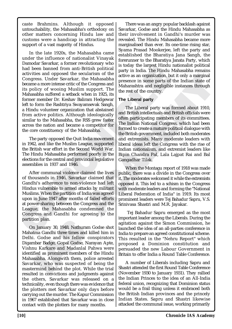caste Brahmins. Although it opposed untouchability, the Mahasabha's orthodoxy on other matters concerning Hindu law and customs were a handicap in attracting the support of a vast majority of Hindus.

had been banned from anti-British political  $\parallel$  bs toway the algest maturities and opposed the sculatism of the lattice and congress. Under Savarkar, the Mahasabha presence in some parts of its policy of wooing Muslim su In the late 1920s, the Mahasabha came under the influence of nationalist Vinayak Damodar Savarkar, a former revolutionary who had been banned from anti-British political activities and opposed the secularism of the Congress. Under Savarkar, the Mahasabha became a more intense critic of the Congress and its policy of wooing Muslim support. The Mahasabha suffered a setback when in 1925, its former member Dr. Keshav Baliram Hedgewar left to form the Rashtriya Swayamsevak Sangh, a Hindu volunteer organization that abstained from active politics. Although ideologically similar to the Mahasabha, the RSS grew faster across the nation and became a competitor for the core constituency of the Mahasabha.

The party opposed the Quit India movement in 1942, and like the Muslim League, supported the British war effort in the Second World War. The Hindu Mahasabha performed poorly in the elections for the central and provincial legislative assemblies in 1937 and 1946.

After communal violence claimed the lives of thousands in 1946, Savarkar claimed that Gandhi's adherence to non-violence had left Hindus vulnerable to armed attacks by militant Muslims. When the partition of India was agreed upon in June 1947 after months of failed efforts at power-sharing between the Congress and the League, the Mahasabha condemned the Congress and Gandhi for agreeing to the partition plan.

ion plan.<br>In January 30, 1948, Nathuram (<br>Ima Gandhi three times and kil<br>I. Godse and his fellow cor<br>Imbar Badge, Gopal Godse, Nara<br>Iu Karkare and Madanlal Pal<br>fied as prominent members of<br>Isabha. Alongwith them, polic<br>Irk on pian.<br>1 January 30, 1948, Nathuram G<br>1ma Gandhi three times and kill<br>1. Godse and his fellow con<br>1bar Badge, Gopal Godse, Nara<br>1u Karkare and Madanlal Pah<br>fied as prominent members of t<br>1sabha. Alongwith them, police<br>1s On January 30, 1948, Nathuram Godse shot Mahatma Gandhi three times and killed him in Delhi. Godse and his fellow conspirators Digambar Badge, Gopal Godse, Narayan Apte, Vishnu Karkare and Madanlal Pahwa were identified as prominent members of the Hindu Mahasabha. Alongwith them, police arrested Savarkar, who was suspected of being the mastermind behind the plot. While the trial resulted in convictions and judgments against the others, Savarkar was released on a technicality, even though there was evidence that the plotters met Savarkar only days before carrying out the murder. The Kapur Commission in 1967 established that Savarkar was in close contact with the plotters for many months.

There was an angry popular backlash against Savarkar, Godse and the Hindu Mahasabha as their involvement in Gandhi's murder was revealed. The Hindu Mahasabha became more marginalised than ever. Its one-time rising star, Syama Prasad Mookerjee, left the party and established the Bharatiya Jana Sangh, the forerunner to the Bharatiya Janata Party, which is today the largest Hindu nationalist political party in India. The Hindu Mahasabha remains active as an organization, but it only a marginal presence in some parts of the Indian state of Maharashtra and negligible instances through the rest of the country.

### **The Liberal party**

nati-British political<br>
the secularism of the party in India. The Hindu Muslim support. The<br>
thack when in 1925, its<br>
thack when in 1925, its<br>
thack when in 1925, its<br>
a Swayaliram Hedgewar The Liberal party<br>
a Swayaliram The Mahazabha and the Mahazabha and the Mahazabha and Mahazabha and persence in some parts of the Indian state of support. The the Mahazabha and negligible instances through that abstained the rest of the country.<br>
The Lib The Liberal party was formed about 1910, and British intellectuals and British officials were often participating members of its committees. The Indian National Congress, which had been formed to create a mature political dialogue with the British government, included both moderates and extremists. Many moderate leaders with liberal ideas left the Congress with the rise of Indian nationalism, and extremist leaders like Bipin Chandra Pal, Lala Lajpat Rai and Bal Gangadhar Tilak.

When the Montagu report of 1918 was made public, there was a divide in the Congress over it. The moderates welcomed it while the extremists opposed it. This led to a schism in the Congress with moderate leaders and forming the "National Liberal Federation of India" in 1919. Its most prominent leaders were Tej Bahadur Sapru, V.S. Srinivasa Shastri and M.R. Jayakar.

 Tej Bahadur Sapru emerged as the most important leader among the Liberals. During the agitation against the Simon Commission, he launched the idea of an all-parties conference in India to prepare an agreed constitutional scheme. This resulted in the "Nehru Report" which proposed a Dominion constitution and persuaded the new Labour Government in Britain to offer India a Round Table Conference.

A number of Liberals including Sapru and Shastri attended the first Round Table Conference (November 1930 to January 1931). They rallied the Indian Princes to the idea of an All-India federal union, recognizing that Dominion status would be a frail thing unless it embraced both the British Indian provinces and the princely Indian States. Sapru and Shastri likewise attacked the communal issue, working primarily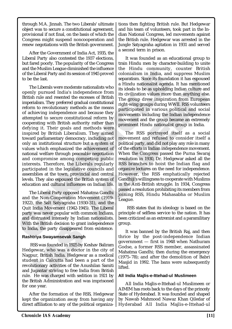through M.A. Jinnah. The two Liberals' ultimate object was to secure a constitutional agreement, provisional if not final, on the basis of which the Congress might suspend noncooperation and renew negotiations with the British government.

After the Government of India Act, 1935, the Liberal Party also contested the 1937 elections, but fared poorly. The popularity of the Congress and the Muslim League diminished the influence of the Liberal Party and its session of 1945 proved to be the last.

of the Liberal Party and its session of 1945 proved colonialism in India. and<br>to be the last.<br>The Liberals were moderate nationalists who is defined agent<br>of the liberals were moderate nationalists who is relation and res Its session of 1945 proved<br>
in the section of the section of 1945 proved<br>
in the section of the section of the excesses of British<br>
The group drew inspirated in the excesses of British<br>
Its civilization values more<br>
red gr The Liberals were moderate nationalists who openly pursued India's independence from British rule and resented the excesses of British imperialism. They preferred gradual constitutional reform to revolutionary methods as the means of achieving independence and because they attempted to secure constitutional reform by cooperating with British authority rather than defying it. Their goals and methods were inspired by British Liberalism. They aimed toward parliamentary democracy, including not only an institutional structure but a system of values which emphasized the achievement of national welfare through peaceable negotiation and compromise among competing public interests. Therefore, the Liberals regularly participated in the legislative councils and assemblies at the town, provincial and central levels. They also espoused the British system of education and cultural influences on Indian life.

The Liberal Party opposed Mahatma Gandhi and the Non-Cooperation Movement (1919- 1922), the Salt Satyagraha (1930-31), and the Quit India Movement (1942-1945). The Liberal party was never popular with common Indians, and distrusted intensely by Indian nationalists. With the British decision to grant independence to India, the party disappeared from existence.

### **Rashtriya Swayamsevak Sangh**

The British decision to grant incomentation, the party disappeared from<br> **IASS** was founded in 1925 by Kesh<br>
gewar, who was a doctor in<br>
pur, British India. Hedgewar as<br>
ent in Calcutta had been a putionary activities of t the British decision to grant india, the party disappeared from<br>triya Swayamsevak Sangh<br>RSS was founded in 1925 by Kesh<br>gewar, who was a doctor in t<br>bur, British India. Hedgewar as<br>ent in Calcutta had been a p<br>utionary act RSS was founded in 1925 by Keshav Baliram Hedgewar, who was a doctor in the city of Nagpur, British India. Hedgewar as a medical student in Calcutta had been a part of the revolutionary activities of the Anushilan Samiti and Jugantar striving to free India from British rule. He was charged with sedition in 1921 by the British Administration and was imprisoned for one year.

After the formation of the RSS, Hedgewar kept the organization away from having any direct affiliation to any of the political organizations then fighting British rule. But Hedgewar and his team of volunteers, took part in the Indian National Congress, led movements against the British rule. Hedgewar was arrested in the Jungle Satyagraha agitation in 1931 and served a second term in prison.

It was founded as an educational group to train Hindu men by character-building to unite the Hindu community, counter British colonialism in India, and suppress Muslim separatism. Since its foundation it has espoused a Hindu nationalist agenda. It has mentioned its ideals to be as upholding Indian culture and its civilization values more than anything else. The group drew inspiration from European right-wing groups during WWII. RSS volunteers participated in various political and social movements including the Indian independence movement and the group became an extremely prominent Hindu nationalist group in India.

and<br>
mationalists who<br>
and a a lindu nationalist agenda. It has repolused<br>
pendence from<br>
its civilization values more than anything else.<br>
mationalists who is civilization values more than anything else.<br>
ual constitution The RSS portrayed itself as a social movement and refused to consider itself a political party, and did not play any role in many of the efforts in Indian independence movement. When the Congress passed the Purna Swaraj resolution in 1930, Dr. Hedgewar asked all the RSS branches to hoist the Indian flag and organize lectures on the need for independence. However, the RSS emphatically rejected Gandhiji's willingness to cooperate with Muslims in the Anti-British struggle. In 1934, Congress passed a resolution prohibiting its members from joining RSS, Hindu Mahasabha or Muslim League.

 RSS states that its ideology is based on the principle of selfless service to the nation. It has been criticized as an extremist and a paramilitary group.

It was banned by the British Raj, and then thrice by the post-independence Indian government — first in 1948 when Nathuram Godse, a former RSS member, assassinated Mahatma Gandhi; then during the emergency (1975–78); and after the demolition of Babri Masjid in 1992. The bans were subsequently lifted.

### **All India Majlis-e-Ittehad-ul Muslimeen**

All India Majlis-e-Ittehad-ul Muslimeen or AIMIM has roots back to the days of the princely State of Hyderabad. It was founded and shaped by Nawab Mahmood Nawaz Khan Qiledar of Hyderabad All India Majlis-e-Ittehad-ul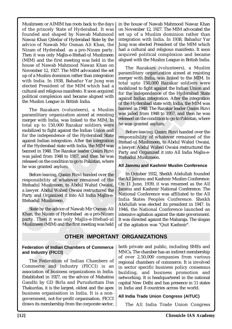Muslimeen or AIMIM has roots back to the days of the princely State of Hyderabad. It was founded and shaped by Nawab Mahmood Nawaz Khan Qiledar of Hyderabad State by the advice of Nawab Mir Osman Ali Khan, the Nizam of Hyderabad as a pro-Nizam party. Then it was only Majlis-e-Ittehad-ul Muslimeen (MIM) and the first meeting was held in the house of Nawab Mahmood Nawaz Khan on November 12, 1927. The MIM advocated the set up of a Muslim dominion rather than integration with India. In 1938, Bahadur Yar Jung was elected President of the MIM which had a cultural and religious manifesto. It soon acquired political complexion and became aligned with the Muslim League in British India.

nous of Nawond Pointinuotal Nawor Natural Channot Inc. Bazakars (volume) and Maybender 12, 1927. The MIM advocated the set paramilitary organization unto the MIM inclinion rather than integration perform that a local upto The Razakars (volunteers), a Muslim paramilitary organization aimed at resisting merger with India, was linked to the MIM. In total up to 150,000 Razakar soldiers were mobilized to fight against the Indian Union and for the independence of the Hyderabad State against Indian integration. After the integration of the Hyderabad state with India, the MIM was banned in 1948. The Razakar leader Qasim Rizvi was jailed from 1948 to 1957, and then he was released on the condition to go to Pakistan, where he was granted asylum.

Before leaving, Qasim Rizvi handed over the responsibility of whatever remained of the Ittehadul Muslimeen, to Abdul Wahid Owaisi, a lawyer. Abdul Wahed Owaisi restructured the Party and Organized it into All India Majlis-e-Ittehadul Muslimeen.

State by the advice of Nawab Mir Osman Ali Khan, the Nizam of Hyderabad as a pro-Nizam party. Then it was only Majlis-e-Ittehad-ul Muslimeen (MIM) and the first meeting was held in the house of Nawab Mahmood Nawaz Khan on November 12, 1927. The MIM advocated the set up of a Muslim dominion rather than integration with India. In 1938, Bahadur Yar Jung was elected President of the MIM which had a cultural and religious manifesto. It soon acquired political complexion and became aligned with the Muslim League in British India.

NOW THE RAZART (volum<br>
MMI advocated the set<br>
numeration<br>
ahadur Yar Jung was<br>
total upto 150,000 Razak<br>
mifesto. It soon acquired<br>
total upto 150,000 Razak<br>
mifesto. It soon acquired<br>
mifesto. It soon acquired<br>
for the in than integration  $\footnotesize$  Par Jung was member at resisting the magnet with Iraki, was linked to the MIM. In T which had a considered if to find a quotied of fight against the India Unit of the Hyderabad State aligned with a The Razakars (volunteers), a Muslim paramilitary organization aimed at resisting merger with India, was linked to the MIM. In total upto 150,000 Razakar soldiers were mobilized to fight against the Indian Union and for the independence of the Hyderabad State against Indian integration. After the integration of the Hyderabad state with India, the MIM was banned in 1948. The Razakar leader Qasim Rizvi was jailed from 1948 to 1957, and then he was released on the condition to go to Pakistan, where he was granted asylum.

Before leaving, Qasim Rizvi handed over the responsibility of whatever remained of the Ittehad-ul Muslimeen, to Abdul Wahid Owaisi, a lawyer. Abdul Wahed Owaisi restructured the Party and Organized it into All India Majlis-e-Ittehadul Muslimeen.

### **All Jammu and Kashmir Muslim Conference**

In October 1932, Sheikh Abdullah founded the All Jammu and Kashmir Muslim Conference. On 11 June, 1939, it was renamed as the All Jammu and Kashmir National Conference. The National Conference was affiliated to the All India States Peoples Conference. Sheikh Abdullah was elected its president in 1947. In 1946, the National Conference launched an intensive agitation against the state government. It was directed against the Maharaja. The slogan of the agitation was "Quit Kashmir".

# **OTHER IMPORTANT ORGANIZATIONS**

**Federation of Indian Chambers of Commerce and Industry (FICCI)**

Then it was only Majlis-e-1<br>meen (MIM) and the first meetin<br>**OTHER IMI**<br>ration of Indian Chambers of C<br>ndustry (FICCI)<br>ne Federation of Indian Chamerce and Industry (FICC<br>iation of business organization: Then It was only Majlis-e-Immeen (MIM) and the first meeting<br> **OTHER IMF**<br> **OTHER IMF**<br> **ACCOMENTA CONSERVANTER ASSEMS AND NOTIFIER IMF**<br> **OTHER IMF**<br> **ACCOMENTA CONSERVANTER CONSERVANTER CONSERVANTER CONSERVANTER CONSERVA** The Federation of Indian Chambers of Commerce and Industry (FICCI) is an association of business organizations in India. Established in 1927, on the advice of Mahatma Gandhi by GD Birla and Purushottam Das Thakurdas, it is the largest, oldest and the apex business organisation in India. It is a nongovernment, not-for-profit organisation. FICCI draws its membership from the corporate sector,

both private and public, including SMEs and MNCs. The chamber has an indirect membership of over 2,50,000 companies from various regional chambers of commerce. It is involved in sector specific business policy consensus building, and business promotion and networking. It is headquartered in the national capital New Delhi and has presence in 11 states in India and 8 countries across the world.

# **All India Trade Union Congress (AITUC)**

The All India Trade Union Congress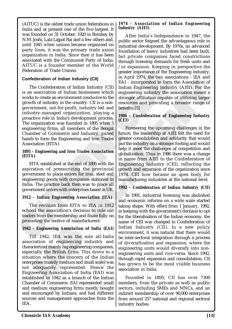(AITUC) is the oldest trade union federations in India and at present one of the five largest. It was founded on 31 October, 1920 in Bombay by N.M. Joshi, Lala Lajpat Rai and a few others and, until 1945 when unions became organised on party lines, it was the primary trade union organization in India. Since then it has been associated with the Communist Party of India. AITUC is a founder member of the World Federation of Trade Unions.

### **Confederation of Indian Industry (CII)**

reateration of Irade Unions,<br>
Confederation of Irade Unions,<br>
Confederation of Iradia Industry (CII)<br>
The Conceleration of Iradia Industry (CII)<br>
The Conceleration of Iradia Industry (CII)<br>
In April 1974, the two ass<br>
tor The Confederation of Indian Industry (CII) is an association of Indian businesses which works to create an environment conducive to the growth of industry in the country. CII is a nongovernment, not-for-profit, industry-led and industry-managed organization, playing a proactive role in India's development process. The organization was founded in 1895 when 5 engineering firms, all members of the Bengal Chamber of Commerce and Industry, joined hands to form the Engineering and Iron Trades Association (EITA).

#### *1895 - Engineering and Iron Trades Association (EITA)*

EITA established at the end of 1895 with the aspiration of pressurizing the provincial government to place orders for iron, steel and engineering goods with companies stationed in India. The practice back then was to place all government orders with enterprises based in UK.

### *1912 - Indian Engineering Association (IEA)*

The revision from EITA to IEA in 1912 echoed the association's decision to rule out traders from the membership and fixate fully on promoting the motive of manufacturers.

# *1942 - Engineering Association of India (EAI)*

- **Engineering Association of** if<br>
Till 1942, IEA was the sole<br>
ciation of engineering indi<br>
acterized mainly big engineering<br>
cially the British firms. This<br>
tion where the concern of t<br>
prises (mainly medium and smal<br>
ad - **Engineering Association of I**<br>ill 1942, IEA was the sole<br>ciation of engineering indu<br>cterized mainly big engineering of<br>cially the British firms. This c<br>tion where the concern of t<br>prises (mainly medium and small<br>adequa Till 1942, IEA was the sole all-India association of engineering industry and characterized mainly big engineering companies, especially the British firms. This drove to a situation where the concern of the Indian enterprises (mainly medium and small scale) was not adequately represented. Hence the Engineering Association of India (EAI) was established in 1942 as a branch of the Indian Chamber of Commerce. EAI represented small and medium engineering firms mostly bought and encouraged by Indians, and had different sources and management approaches from the IEA.

### *1974 - Association of Indian Engineering Industry (AIEI)*

After India's Independence in 1947, the public sector feigned the advantageous role in industrial development. By 1970s, an advanced foundation of heavy industries had been built, but private companies faced constrictions through licensing demands for fresh units and /or expansion. Keeping in perspective the greater importance of the Engineering industry, in April 1974, the two associations - IEA and EAI - incorporated to form the Association of Indian Engineering Industry (AIEI). For the engineering industry the association meant a stronger affiliation capable of utilizing larger resources and providing a broader range of benefits.[5]

### *1986 - Confederation of Engineering Industry (CEI)*

notative (CII)<br>
In April 1974, the two ass<br>
of Indian Industry (CII)<br>
Indian Expirement of the EXI - incorporated to form<br>
dian businesses which<br>
equinering industry the incorporated to form<br>
onment conducive to the strong EAT incorporated to form the Association of<br>
EAT - incorporated to form the Association of<br>
inflaintering industry (AIEI). For the<br>
inconductive to the signincering industry the association meant a<br>
conductive to the signi Foreseeing the upcoming challenges in the future, the leadership at AIEI felt the need for greater consolidation and solidarity that would put the industry on a stronger footing and would help it meet the challenges of competition and globalization. Thus in 1986 there was a change in name from AIEI to the Confederation of Engineering Industry (CEI), reflecting the growth and expansion of the organization since 1974. CEI now became an apex body for manufacturing industries at the national level.

# *1992 - Confederation of Indian Industry (CII)*

In 1991, industrial licensing was abolished and economic reforms on a wide scale started taking shape. With effect from 1 January, 1992, in keeping with the government's decision to opt for the liberalisation of the Indian economy, the name of CEI was changed to Confederation of Indian Industry (CII). In a new policy environment, it was natural that there would be inter-sectoral integration through a process of diversification and expansion, where the engineering units would diversify into nonengineering units and vice-versa. Since 1992, through rapid expansion and consolidation, CII has grown to be the most visible business association in India.

Founded in 1895, CII has over 7300 members, from the private as well as public sectors, including SMEs and MNCs, and an indirect membership of over 90,000 enterprises from around 257 national and regional sectoral industry bodies.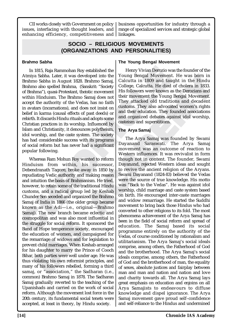CII works closely with Government on policy issues, interfacing with thought leaders, and enhancing efficiency, competitiveness and linkages.

business opportunities for industry through a range of specialized services and strategic global

# **SOCIO – RELIGIOUS MOVEMENTS (ORGANIZATIONS AND PERSONALITIES)**

### **Brahmo Sabha**

In 1815, Raja Rammohan Roy established the Henry Vivian Derozio w<br>Amimo Sabha .<br>Later, it was developed into the Young Bengal Movement<br>Brahmo Sabha in August 1828. Brahmo Samaj, Calcutta in 1809 and tau<br>Brahmo also spelle han Roy established the Henry Vivian Derozio was developed into the Young Bengal Movement st 1828. Brahmo Samaj, Calcutta in 1809 and tau thma, (Sanskrit: "Society College, Calcutta. He died stant, theistic movement His fo In 1815, Raja Rammohan Roy established the Atmiya Sabha. Later, it was developed into the Brahmo Sabha in August 1828. Brahmo Samaj, Brahmo also spelled Brahma, (Sanskrit: "Society of Brahma"), quasi-Protestant, theistic movement within Hinduism. The Brahmo Samaj does not accept the authority of the Vedas, has no faith in avatars (incarnations), and does not insist on belief in karma (causal effects of past deeds) or rebirth. It discards Hindu rituals and adopts some Christian practices in its worship. Influenced by Islam and Christianity, it denounces polytheism, idol worship, and the caste system. The society has had considerable success with its programs of social reform but has never had a significant popular following.

pointan and was also most infidence populari and was also most infidence society, enducation of women, and campa-<br>marriage of widows and for leg<br>marriage of widows and for leg<br>met child marriages. When Keshal<br>s daughter to ruggle for social reform. It sponds find was also most infiduo<br>of Hope temperance society, en<br>lucation of women, and campa<br>marriage of widows and for leg<br>nt child marriages. When Keshab<br>s daughter to marry the Prince<br>both Whereas Ram Mohun Roy wanted to reform Hinduism from within, his successor, Debendranath Tagore, broke away in 1850 by repudiating Vedic authority and making reason and intuition the basis of Brahmanism. He tried, however, to retain some of the traditional Hindu customs, and a radical group led by Keshab Chunder Sen seceded and organized the Brahmo Samaj of India in 1866 (the older group became known as the Adi—i.e., original—Brahmo Samaj). The new branch became eclectic and cosmopolitan and was also most influential in the struggle for social reform. It sponsored the Band of Hope temperance society, encouraged the education of women, and campaigned for the remarriage of widows and for legislation to prevent child marriages. When Keshab arranged for his daughter to marry the Prince of Cooch Bihar, both parties were well under age. He was thus violating his own reformist principles, and many of his followers rebelled, forming a third samaj, or "association," the Sadharan (i.e., common) Brahmo Samaj in 1878. The Sadharan Samaj gradually reverted to the teaching of the Upanishads and carried on the work of social reform. Although the movement lost force in the 20th century, its fundamental social tenets were accepted, at least in theory, by Hindu society.

# **The Young Bengal Movement**

Henry Vivian Derozio was the founder of the Young Bengal Movement. He was born in Calcutta in 1809 and taught in the Hindu College, Calcutta. He died of cholera in 1833. His followers were known as the Derozians and their movement the Young Bengal Movement. They attacked old traditions and decadent customs. They also advocated women's rights and their education. They founded associations and organized debates against idol worship, casteism and superstitions.

# **The Arya Samaj**

Explored into the antion Samal Calcutta in 1899 and taught in the Hindu Brahmo Samal College, Calcutta He died of cholera in 1833.<br>
Saman does not heli They attacked old traditions and decade their movement the Young Benga The Arya Samaj was founded by Swami Dayanand Saraswati. The Arya Samaj movement was an outcome of reaction to Western influences. It was revivalist in form though not in content. The founder, Swami Dayanand, rejected Western ideas and sought to revive the ancient religion of the Aryans. Swami Dayanand (1824-83) believed the Vedas were the source of true knowledge. His motto was "Back to the Vedas". He was against idol worship, child marriage and caste system based on birth. He encouraged inter-caste marriages and widow remarriage. He started the Suddhi movement to bring back those Hindus who had converted to other religions to its fold. The most phenomena achievement of the Arya Samaj has been in the field of social reform and spread of education. The Samaj based its social programme entirely on the authority of the Vedas, of course conditioned by rationalism and utilitarianism. The Arya Samaj's social ideals comprise, among others, the Fatherhood of God and the brotherhood. The Arya Samaj's social ideals comprise, among others, the Fatherhood of God and the brotherhood of man, the equality of sexes, absolute justices and fairplay between man and man and nation and nation and love and charity towards all. The Arya Samaj lays great emphasis on education and enjoins on all Arya Samajists to endeavours to diffuse knowledge and dispel ignorance. The Arya Samaj movement gave proud self–confidence and self-reliance to the Hindus and undermined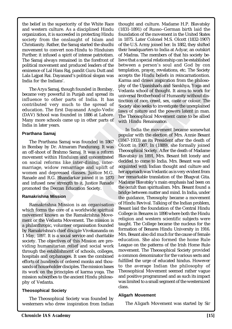the belief in the superiority of the White Race and western culture. As a disciplined Hindu organization, it is succeeded in protecting Hindu society from the onslaught of Islam and Christianity. Rather, the Samaj started the shudhi movement to convert non-Hindu to Hinduism Further; it infused a spirit of intense patriotism. The Samaj always remained in the forefront of political movement and produced leaders of the eminence of Lal Hans Raj, pandit Guru Dutt and Lala Lajpat Rai. Dayanand's political slogan was India for the Indians'.

The Arya Samaj, though founded in Bombay, became very powerful in Punjab and spread its influence to other parts of India. It has contributed very much to the spread of education. The first Dayanand Anglo-Vedic (DAV) School was founded in 1886 at Lahore. Many more schools came up in other parts of India in later years.

#### **Prarthana Samaj**

The Prarthana Samaj was founded in 1867 in Bombay by Dr. Atmaram Pandurang. It was an off-shoot of Brahmo Samaj. It was a reform movement within Hinduism and concentrated on social reforms like inter-dining, intermarriage, widow remarriage and uplift of women and depressed classes. Justice M.G. Ranade and R.G. Bhandarkar joined it in 1870 and infused new strength to it. Justice Ranade promoted the Deccan Education Society.

### **Ramakrishna Mission**

ilanthropic, volunteer organisation<br>amakrishna's chief disciple Vively, 1897. It is a social service and<br>ty. The objectives of this Mission<br>and ty. The objectives of this Mission<br>algh the establishment of school<br>itals and lanthropic, volunteer organisatio<br>
smakrishna's chief disciple Vivek<br>
y, 1897. It is a social service and<br>
ty. The objectives of this Missio<br>
ng humanitarian relief and so<br>
ugh the establishment of schools<br>
tals and orphan Ramakrishna Mission is an organisation which forms the core of a worldwide spiritual movement known as the Ramakrishna Movement or the Vedanta Movement. The mission is a philanthropic, volunteer organisation founded by Ramakrishna's chief disciple Vivekananda on 1 May, 1897. It is a social service and charitable society. The objectives of this Mission are providing humanitarian relief and social work through the establishment of schools, colleges, hospitals and orphanages. It uses the combined efforts of hundreds of ordered monks and thousands of householder disciples. The mission bases its work on the principles of karma yoga. The mission subscribes to the ancient Hindu philosophy of Vedanta.

### **Theosophical Society**

The Theosophical Society was founded by westerners who drew inspiration from Indian

thought and culture. Madame H.P. Blavatsky (1831-1891) of Russo–German birth laid the foundation of the movement in the United States in 1875. Later Colonel M.S. Olcott (1832-1907) of the U.S. Army joined her. In 1882, they shifted their headquarters to India at Adyar, an outskirt of Madras. The members of that his society believe that a special relationship can be established between a person's soul and God by con templation, prayer, revelations, etc. The Society accepts the Hindu beliefs in reincarnationtion. Karma and draws inspiration from the philosophy of the Upanishads and Samkhya, Yoga and Vedanta school of thought. It aims to work for universal Brotherhood of Humanity without distinction of race, creed, sex, caste or colour. The Society also seeks to investigate the unexplained laws of nature and the powers latent in man. The Theosophical Movement came to be allied with Hindu Renaissance.

Funding the contained and Bangham Gaund Caution and the equalistical slag and and the same and data and the same and the same and the same of the party overful in Punjab and spend is wedant as those influence to other par d is political slogan was accepts the Hindu beliefs in the Upanishads and<br>tugh founded in Bombay, accepts the Hindu beliefs is<br>karma and draws inspiration<br>to the spread of Society also seeks to investigated in 1886 at Laho Karma and draws inspiration from the philoso-<br>
hotel in Bombay. phy of the Upanishads and Samkhya, Yoga and<br>
bond of thought. It aims to work for<br>
1 India. It has tintrices<br>
1 India at the street of scee, reed, sex, caste In India the movement became somewhat popular with the election of Mrs. Annie Besant (1847-1933) as its President after the death of Olcott in 1907. In (1889), she formally joined Theosophical Society. After the death of Madame Blavatsky in 1891, Mrs. Besant felt lonely and decided to come to India. Mrs. Besant was well acquinted with Indian thought and culture and her approach was Vedantic as is very evident from her remarkable translation of the Bhagvat Gita. Madame Blavatsky's main emphasis had been on the occult than spiritualism. Mrs. Besant found a bridge between matter and mind. In India, under the guidance, Theosophy became a movement of Hindu Revival. Talking of the Indian problem, Besant laid the foundation of the Central Hindu College in Benares in 1898 where both the Hindu religion and western scientific subjects were taught. The College became the nucleus for the formation of Benares Hindu University in 1916. Mrs. Besant also did much for the cause of female education. She also formed the home Rule League on the patterns of the Irish Home Rule movement. The Theosophical Society provided a common denominator for the various sects and fulfilled the urge of educated hindus. However to the average Indian the philosophy of Theosophical Movement seemed rather vague and positive programmed and as such its impact was limited to a small segment of the westernized class.

#### **Aligarh Movement**

The Aligarh Movement was started by Sir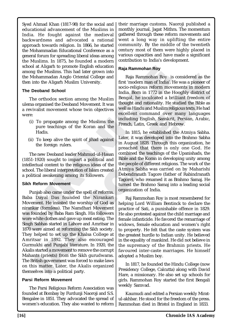Syed Ahmad Khan (1817-98) for the social and educational advancement of the Muslims in India. He fought against the medieval backwardness and advocated a rational approach towards religion. In 1866, he started the Mohammadan Educational Conference as a general forum for spreading liberal ideas among the Muslims. In 1875, he founded a modern school at Aligarh to promote English education among the Muslims. This had later grown into the Mohammadan Anglo Oriental College and then into the Aligarh Muslim University.

### **The Deoband School**

The orthodox section among the Muslim ulema organised the Deoband Movement. It was a revivalist movement whose twin objectives were:

- (i) To propagate among the Muslims the pure teachings of the Koran and the Hadis.
- (ii) To keep alive the spirit of jihad against the foreign rulers.

The new Deoband leader Mahmud-ul-Hasan (1851-1920) sought to impart a political and intellectual content to the religious ideas of the school. The liberal interpretation of Islam created a political awakening among its followers.

### **Sikh Reform Movement**

stonod at Augarn to promote Engins education<br>
and the Muslims. This had later grown into<br>
the Mohammadan Anglo Oriental Gollege and<br>
the minot the Aligarh Muslim University.<br>
The Deoband School<br>
The Deoband School<br>
The De White clotnes and gave up meat  $\alpha$ <br>Sabhas started in Lahore and A<br>were aimed at reforming the Sil<br>helped to set up the Khalsa (<br>tsar in 1892. They also en<br>uukhi and Punjabi literature. In<br>s started a movement to remove t<br> while cloties and gave up filed the Sabhas started in Lahore and A<br>were aimed at reforming the Sik<br>helped to set up the Khalsa C<br>tsar in 1892. They also enought and Punjabi literature. In<br>started a movement to remove the<br>s Punjab also came under the spell of reforms. Baba Dayal Das founded the Nirankari Movement. He insisted the worship of God as nirankar (formless). The Namdhari Movement was founded by Baba Ram Singh. His followers wore white clothes and gave up meat eating. The Singh Sabhas started in Lahore and Amritsar in 1870 were aimed at reforming the Sikh society. They helped to set up the Khalsa College at Amritsar in 1892. They also encouraged Gurmukhi and Punjabi literature. In 1920, the Akalis started a movement to remove the corrupt Mahants (priests) from the Sikh gurudwaras. The British government was forced to make laws on this matter. Later, the Akalis organized themselves into a political party.

### **Parsi Reform Movement**

The Parsi Religious Reform Association was founded at Bombay by Furdunji Naoroji and S.S. Bengalee in 1851. They advocated the spread of women's education. They also wanted to reform their marriage customs. Naoroji published a monthly journal, Jagat Mithra. The momentum gathered through these reform movements and went a long way in uplifting the entire community. By the middle of the twentieth century most of them were highly placed in various capacities and have made a significant contribution to India's development.

### **Raja Rammohan Roy**

move English education<br>
is had later grown into<br>
lo Oriental College and<br>
metal College and<br>
metal College and<br>
metal College and<br>
metal College and<br>
metal Raja Rammohan Roy<br>
is first 'modern man of India'.<br>
India. Born in Raja Rammohan Roy is considered as the first 'modern man of India'. He was a pioneer of socio-religious reform movements in modern India. Born in 1772 in the Hooghly district of Bengal, he inculcated a brilliant freedom of thought and rationality. He studied the Bible as well as Hindu and Muslim religious texts. He had excellent command over many languages including English, Sanskrit, Persian, Arabic, French, Latin, Greek and Hebrew.

tal College and Raja Rammohan Roy is considered as the first 'modern man of India'. He was a pioneer of socio-religious reform movements in modern of Didia. Born in 1772 in the Hooghly district of bovement. It was thought In 1815, he established the Atmiya Sabha. Later, it was developed into the Brahmo Sabha in August 1828. Through this organization, he preached that there is only one God. He combined the teachings of the Upanishads, the Bible and the Koran in developing unity among the people of different religions. The work of the Atmiya Sabha was carried on by Maharishi Debendranath Tagore (father of Rabindranath Tagore), who renamed it as Brahmo Samaj. He turned the Brahmo Samaj into a leading social organization of India.

Raj Rammohan Roy is most remembered for helping Lord William Bentinck to declare the practice of Sati, a punishable offence in 1829. He also protested against the child marriage and female infanticide. He favored the remarriage of widows, female education and women's right to property. He felt that the caste system was the greatest hurdle to Indian unity. He believed in the equality of mankind. He did not believe in the supremacy of the Brahmin priests. He favoured inter-caste marriages. He himself adopted a Muslim boy.

In 1817, he founded the Hindu College (now Presidency College, Calcutta) along with David Hare, a missionary. He also set up schools for girls. Rammohan Roy started the first Bengali weekly Samvad.

Kaumudi and edited a Persian weekly Miratul-akhbar. He stood for the freedom of the press. Rammohan died in Bristol in England in 1833.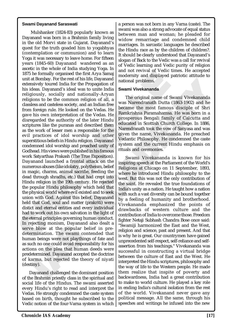#### **Swami Dayanand Saraswati**

1875 he formally organised the first Arya Samaje and for the rest of his life, Dayaanad and the state of the Propagation of the measure of this life, Dayaand's lifed was to unite India and problems. This ideas. Dayaand's ised the first Arya Samajum and notion was not the same of this life, Dayanand<br>
a for the Propagation of all, a<br>
ordernity and displayed<br>
and nationally-Aryan<br>
mmon religion of all, a<br>
ooked on the Vedas. He<br>
ooked on the recting monism, Dayanand a<br>e blow at the popular beli<br>rmination. The swami conte<br>an beings were not playthings<br>ch no one could avoid responsib<br>nns on the plea that human d<br>etermined. Dayanand accepted t<br>arma, but rejected blow at the popular belief the blow at the popular belief mination. The swami content<br>an beings were not playthings of no one could avoid responsibing<br>ach no one could avoid responsibing<br>ins on the plea that human determin Mulshanker (1824-83) popularly known as Dayanand was born in a Brahmin family living in the old Morvi state in Gujarat. Dayanand's quest for the truth goaded him to yogabhyas (contemplation or communion) and to learn Yoga it was necessary to leave home. For fifteen years (1845-60) Dayanand wandered as an ascetic in the whole of India studying Yoga. In 1875 he formally organised the first Arya Samaj unit at Bombay. For the rest of his life, Dayanand extensively toured India for the Propagation of his ideas. Dayanand's ideal was to unite India religiously, socially and nationally-Aryan religions to be the common religion of all, a classless and casteless society, and an Indian free from foreign rule. He looked on the Vedas. He gave his own interpretation of the Vedas. He disregarded the authority of the later Hindu scriptures like the puranas and described them as the work of lesser men a responsible for the evil practices of idol worship and other superstitious beliefs in Hindu religion. Dayanand condemned idol worship and preached unity of Godhead. His views were published in his famous work Satyarthaa Prakash (The True Exposition). Dayanand launched a frontal attack on the numerous abuses (like idolatry, polytheism, belief in magic, charms, animal sacrifie, feeding the dead through shradhs, etc.) that had crept into Hindu religion in the 19th century. He rejected the popular Hindu philosophy which held that the physical world where evil existed and to seek union with God. Against this belief, Dayanand held that God, soul and matter (prakriti) were distict and eternal entities and every individual had to work out his own salvation in the light of the eternal principles governing human conduct. In rejecting monism, Dayanand also dealt a serve blow at the popular belief in predetermination. The swami contended that human beings were not playthings of fate and as such no one could avoid responsibility for his actions on the plea that human deeds were predetermined. Dayanand accepted the doctrine of karma, but rejected the theory of niyati (destiny).

Dayanand challenged the dominant position of the Brahmin priestly class in the spiritual and social life of the Hindus. The swami asserted every Hindu's right to read and interpret the Vedas. He strongly condemned the caste system based on birth, thought he subscribed to the Vedic notion of the four-Varna system in which a person was not born in any Varna (caste). The swami was also a strong advocate of equal status between man and woman; he pleaded for widow remarriage and condemned child marriages. In sarcastic languages he described the Hindu race as by the children of children?. It should be clearly understood that Dayanand's slogan of Back to the Vedic was a call for revival of Vedic learning and Vedic purity of religion and not revival of Vedic times. He accepted modernity and displayed patriotic attitude to national problems.

#### **Swami Vivekananda**

The original name of Swami Vivekananda was Narendranath Dutta (1863-1902) and he became the most famous disciple of Shri Ramkrishna Paramahamsa. He was born in a prosperous Bengali family of Calcutta and educated in Scottish Church College. In 1886, Narendranath took the vow of Sanyasa and was given the name, Vivekananda. He preached Vedantic Philosophy. He condemned the caste system and the current Hindu emphasis on rituals and ceremonies.

Is Inc. Dayanand<br>
ally - Aryan<br>
elegation of all, a<br>
elegation of swami Vivekananda<br>
idain Indian free was Narendranath Dutta (1863-1902) and he<br>
and an Indian free was Narendranath Dutta (1863-1902) and he<br>
idea. He beca Swami Vivekananda is known for his inspiring speech at the Parliament of the World's Religions at Chicago on 11 September, 1893, where he introduced Hindu philosophy to the west. But this was not the only contribution of the saint. He revealed the true foundations of India's unity as a nation. He taught how a nation with such a vast diversity can be bound together by a feeling of humanity and brotherhood. Vivekananda emphasized the points of drawbacks of western culture and the contribution of India to overcome those. Freedom fighter Netaji Subhash Chandra Bose once said: "Swamiji harmonized the East and the West, religion and science, past and present. And that is why he is great. Our countrymen have gained unprecedented self-respect, self-reliance and selfassertion from his teachings." Vivekananda was successful in constructing a virtual bridge between the culture of East and the West. He interpreted the Hindu scriptures, philosophy and the way of life to the Western people. He made them realize that inspite of poverty and backwardness, India had a great contribution to make to world culture. He played a key role in ending India's cultural isolation from the rest of the world. Vivekanand never gave any political message. All the same, through his speeches and writings he infused into the new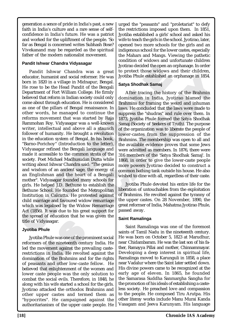generation a sence of pride in India's past, a new faith in India's culture and a rare sense of selfconfidence in India's future. He was a patriot and worked for the upliftment of the people. 'So far as Bengal is concerned writes Subhash Bose? Vivekanand may be regarded as the spiritual father of the modern nationalist movement.

### **Pandit Ishwar Chandra Vidyasagar**

Pandit Ishwar Chandra was a great spot<br>decoted the open and the protect hose vidows seducator, humanist and social reformer. He was Jyotiba Phule established and<br>morn in 1820 in a village in Midnapur, Bengali Satya Shodhak nandra was a great to protect those widows a<br>social reformer. He was<br>to protect those widows a<br>e in Midnapur, Bengal.<br>I Pandit of the Bengali<br>I Satya Shodhak Samaj<br>iam College. He firmly<br>aliam College. He firmly<br>domination Pandit Ishwar Chandra was a great educator, humanist and social reformer. He was born in 1820 in a village in Midnapur, Bengal. He rose to be the Head Pandit of the Bengali Department of Fort William College. He firmly believed that reform in Indian society could only come about through education. He is considered as one of the pillars of Bengal renaissance. In other words, he managed to continue the reforms movement that was started by Raja Rammohan Roy. Vidyasagar was a well-known writer, intellectual and above all a staunch follower of humanity. He brought a revolution in the education system of Bengal. In his book, "Barno-Porichoy" (Introduction to the letter), Vidyasagar refined the Bengali language and made it accessible to the common strata of the society. Poet Michael Madhusudan Dutta while writing about Ishwar Chandra said: "The genius and wisdom of an ancient sage, the energy of an Englishman and the heart of a Bengali mother". Vidyasagar founded many schools for girls. He helped J.D. Bethune to establish the Bethune School. He founded the Metropolitan Institution in Calcutta. He protested against child marriage and favoured widow remarriage which was legalised by the Widow Remarriage Act (1856). It was due to his great support for the spread of education that he was given the title of Vidyasagar.

# **Jyotiba Phule**

or Vidyasagar.<br> **Sa Phule**<br>
otiba Phule was one of the prominers of the nineteenth century<br>
ie movement against the prevaic<br>
ctions in India. He revolted a<br>
nation of the Brahmins and for<br>
asants and other low-caste feed t **Solution**<br>**Solution**<br>**Solution**<br>**Solution**<br>**Solution**<br>**Solutions in India. He revolted agency and for<br>asants and other low-caste felled that enlightenment of the wear<br>caste people was the only so** Jyotiba Phule was one of the prominent social reformers of the nineteenth century India. He led the movement against the prevailing casterestrictions in India. He revolted against the domination of the Brahmins and for the rights of peasants and other low-caste fellow. He believed that enlightenment of the women and lower caste people was the only solution to combat the social evils. Therefore, in 1848, he along with his wife started a school for the girls. Jyotirao attacked the orthodox Brahmins and other upper castes and termed them as "hypocrites". He campaigned against the authoritarianism of the upper caste people. He

urged the "peasants" and "proletariat" to defy the restrictions imposed upon them. In 1851, Jyotiba established a girls' school and asked his wife to teach the girls in the school. Jyotirao, later, opened two more schools for the girls and an indigenous school for the lower castes, especially the Mahars and Mangs. Viewing the pathetic condition of widows and unfortunate children Jyotirao decided the open an orphanage. In order to protect those widows and their children, Jyotiba Phule established an orphanage in 1854.

# **Satya Shodhak Samaj**

Former. He was<br>
I Jyotiba Phule established an orphanage in 1854.<br>
Inapur, Bengal.<br>
Inspired and Satya Shodhak Samaj<br>
Lege. He firmly<br>
Elege. He firmly<br>
After tracing the history of the Brahmin<br>
Elege. He firmly<br>
After tra After tracing the history of the Brahmin domination in India, Jyotirao blamed the Brahmins for framing the weird and inhuman laws. He concluded that the laws were made to suppress the "shudras" and rule over them. In 1873, Jyotiba Phule formed the Satya Shodhak Samaj (Society of Seekers of Truth). The purpose of the organization was to liberate the people of lower-castes from the suppression of the Brahmins. The membership was open to all and the available evidence proves that some Jews were admitted as members. In 1876, there were 316 members of the 'Satya Shodhak Samaj'. In 1868, in order to give the lower-caste people more powers Jyotirao decided to construct a common bathing tank outside his house. He also wished to dine with all, regardless of their caste.

Jyotiba Phule devoted his entire life for the liberation of untouchables from the exploitation of Brahmins. He revolted against the tyranny of the upper castes. On 28 November, 1890, the great reformer of India, Mahatma Jyotirao Phule, passed away.

# **Saint Ramalinga**

Saint Ramalinga was one of the foremost saints of Tamil Nadu in the nineteenth century. He was born on October 5, 1823 at Marudhur, near Chidambaram. He was the last son of his father, Ramayya Pillai and mother, Chinnammayar. Developing a deep interest in spiritual life, Ramalinga moved to Karunguli in 1858, a place near Vadalur where the Saint later settled down. His divine powers came to be recognized at the early age of eleven. In 1865, he founded the Samarasa Suddha Sanmargha Sangha for the promotion of his ideals of establishing a casteless society. He preached love and compassion to the people. He composed Tiru Arutpa. His other literay works include Manu Murai Kanda Vasagam and Jeeva Karunyam. His language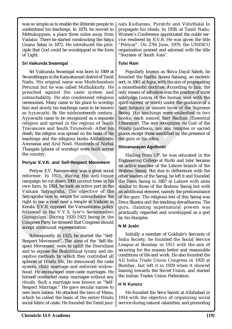was so simple as to enable the illiterate people to understand his teachings. In 1870, he moved to Mettukuppam, a place three miles away from Vadalur. There he started constructing the Satya Gnana Sabai in 1872. He introduced the principle that God could be worshipped in the form of Light.

# **Sri Vaikunda Swamigal**

STV Vaikunda Swamigal was born in 1809 at<br>
From Library and the Kanyakumari district of Tamil Founded the Radha Soami<br>
Nadu. His original name was Mudichoodum<br>
Precumal bot the was called Muthakkity. He amonohesistic doct ne was Mudchoodum<br>
me was Muchand sect, in 1861 at Agra, with the caste system and<br>
alled Muthukkutty. He a monotheistic doctrine. A<br>
alled Muthukkutty. He a monotheistic doctrine. A<br>
ne caste system and only means of salv Sri Vaikunda Swamigal was born in 1809 at Swamithoppu in the Kanyakumari district of Tamil Nadu. His original name was Mudichoodum Perumal but he was called Muthukkutty. He preached against the caste system and untouchability. He also condemned religious ceremonies. Many came to his place to worship him and slowly his teachings came to be known as Ayyavazhi. By the midnineteenth century, Ayyavazhi came to be recognized as a separate religion and spread in the regions of South Travancore and South Tirunelveli. After his death, the religion was spread on the basis of his teachings and the religious books Akilattirattu Ammanai and Arul Nool. Hundreds of Nizhal Thangals (places of worship) were built across the country.

# **Periyar E.V.R. and Self-Respect Movement**

Periyar E.V. Ramaswamy was a great social reformer. In 1921, during the anti-liquor campaign he cut down 1000 coconut trees in his own farm. In 1924, he took an active part in the Vaikam Satyagraha. The objective of the Satyagraha was to secure for untouchables the right to use a road near a temple at Vaikom in Kerala. E.V.R. opposed the Varnashrama policy followed in the V.V.S. Iyer's Seranmadevi Gurugulam. During 1920-1925 being in the Congrees Party he stressed that Congress should accept communal representation.

of communal representation.<br>
ubsequently in 1925, he started<br>
ect Movement". The aims of the<br>
Extract Movement". The aims of the<br>
to expose the Brahminical tyra<br>
we methods by which they conducted many marriages with<br>
D. H Internation.<br>
ubsequently in 1925, he started<br>
ect Movement". The aims of th<br>
Movement' were to uplift the l<br>
to expose the Brahminical tyrar<br>
ve methods by which they con<br>
res of Hindu life. He denounced<br>
m, child marriag Subsequently in 1925, he started the "Self-Respect Movement". The aims of the 'Self-Respect Movement' were to uplift the Dravidians and to expose the Brahminical tyrany and deceptive methods by which they controlled all spheres of Hindu life. He denounced the caste system, child marriage and enforced widowhood. He encouraged inter-caste marriages. He himself conducted many marriages without any rituals. Such a marriage was known as "Self-Respect Marriage." He gave secular names to new born babies. He attacked the laws of Manu, which he called the basis of the entire Hindu social fabric of caste. He founded the Tamil journals Kudiarasu, Puratchi and Viduthalai to propagate his ideals. In 1938, at Tamil Nadu, Women's Conference appreciated the noble service rendered by E.V.R. He was given the title "Periyar". On 27th June, 1970, the UNESCO organisation praised and adorned with the title "Socrates of South Asia".

# **Tulsi Ram**

Popularly known as Shiva Dayal Saheb, he founded the Radha Soami Satsang, an esoteric sect, in 1861 at Agra, with the aim of propagating a monotheistic doctrine. According to him, the only means of salvation was the practice of surat sabdyoga (union of the human soul with the spirit-current or word) under the guidance of a Sant Satguru or sincere lover of the Supreme Being. His teachings were embodied in two books, each named Sarr Bachan (Essential Utterance). The sect recognizes no God of the Hindu pantheon, nor any temples or sacred places except those sanctified by the presence of the guru or his relics.

# **Shivanarayan Agnihotri**

Mudichoodum<br>
Mudichoodum<br>
Sect. in 1861 at Agra, with the aim of propagating<br>
uthukkutty. He<br>
e system and only means of salvation was the practice of surat<br>
mente deligious<br>
sabdyoga (union of the human soul with the<br>
pl Hailing from UP, he was educated in the Engineering College at Rurki and later became an active member of the Lahore branch of the Brahmo Samaj. But due to differences with the other leaders of the Samaj, he left it and founded the Deva Samaj in 1887 at Lahore with aims similar to those of the Brahmo Samaj but with an additional element, namely the predominance of the guru. The religious text of this Samaj was Deva Shastra and the teaching devadharma. The guru, claiming supernatural powers was practically regarded and worshipped as a god by his disciples.

# **N M Joshi**

Initially a member of Gokhale's Servants of India Society, he founded the Social Service League at Bombay in 1911 with the aim of securing for the masses better and reasonable conditions of life and work. He also founded the All India Trade Union Congress in 1920 at Bombay, but left it in 1929 when it showed leaning towards the Soviet Union, and started the Indian Trades Union Federation.

# **H N Kunzru**

He founded the Seva Samiti at Allahabad in 1914 with the objective of organizing social service during natural calamities, and promoting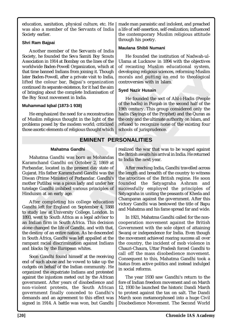education, sanitation, physical culture, etc. He was also a member of the Servants of India Society earlier.

# **Shri Ram Bajpai**

Another member of the Servants of India Society, he founded the Seva Samiti Boy Scouts Association in 1914 at Bombay on the lines of the worldwide Baden-Powell Organization, which at that time banned Indians from joining it. Though later Baden-Powell, after a private visit to India, lifted the colour bar, Bajpai's organization continued its separate existence, for it had the aim of bringing about the complete Indianisation of the Boy Scout movement in India.

### **Muhammad Iqbal (1873-1 938)**

He emphasized the need for a reconstruction of Muslim religious thought in the light of the problems posed by the modem world; criticized those ascetic elements of religious thought which made man parasistic and indolent, and preached a life of self-assertion, self-realization; influenced the contemporary Muslim religious attitude through his poetry.

# **Maulana Shibli Numani**

He founded the institution of Nadwah-ul-Ulama at Lucknow in 1894 with the objectives of recasting Muslim educational system, developing religious sciences, reforming Muslim morals and putting an end to theological controversies with in Islam.

### **Syed Nazir Husain**

The section of the British and the British and Solendard Contract Color and Solendard Control and Solendard Superintence, for it had the aim and putting and a section of the founded the sect of  $\mu$  and the sect of  $\mu$  an He founded the sect of Ahl-i-Hadis (People of the hadis) in Punjab in the second half of the 19th century. This group considered only the hadis (Sayings of the Prophet) and the Quran as the only and the ultimate authority on Islam, and refused to recognize none of the existing four schools of jurisprudence.

# **EMINENT PERSONALITIES**

### **Mahatma Gandhi**

working Baden-Powell Organization, when at or receasing Muslim ed<br>
that time banned Indians from joining it. Though developing religious science<br>
later Baden-Powell, after a private visit to India, morals and putting an ex Mahatma Gandhi was born as Mohandas Karamchand Gandhi on October 2, 1869 at Porbandar, located in the present day state of Gujarat. His father Karamchand Gandhi was the Diwan (Prime Minister) of Porbandar. Gandhi's mother Putlibai was a pious lady and under her tutelage Gandhi imbibed various principles of Hinduism at an early age.

went to boddn't find as a tegated dian firm in South Africa. Thi<br>danged the life of Gandhi, and<br>estiny of an entire nation. As he<br>uth Africa, Gandhi was left appa<br>ant racial discrimination again<br>lacks by the European white dian firm in South Africa. This<br>changed the life of Gandhi, and<br>stiny of an entire nation. As he c<br>tth Africa, Gandhi was left appal<br>ant racial discrimination agains<br>lacks by the European whites.<br>on Gandhi found himself at After completing his college education Gandhi left for England on September 4, 1888 to study law at University College, London. In 1893, went to South Africa as a legal advisor to an Indian firm in South Africa. This decision alone changed the life of Gandhi, and with that, the destiny of an entire nation. As he descended in South Africa, Gandhi was left appalled at the rampant racial discrimination against Indians and blacks by the European whites.

Soon Gandhi found himself at the receiving end of such abuse and he vowed to take up the cudgels on behalf of the Indian community. He organized the expatriate Indians and protested against the injustices meted out by the African government. After years of disobedience and non-violent protests, the South African government finally conceded to Gandhi's demands and an agreement to this effect was signed in 1914. A battle was won, but Gandhi realized the war that was to be waged against the British awaits his arrival in India. He returned to India the next year.

Evisit to India<br>
orals and putting an end to theological<br>
ortrownsis organization<br>
a.<br>
Action in Syed Nazir Husain<br>
a.<br>
Action in Syed Nazir Husain<br>
a.<br>
Action in Syed Nazir Husain<br>
a.<br>
Action in Syed Nazir Husain<br>
a.<br>
Act After reaching India, Gandhi travelled across the length and breadth of the country to witness the atrocities of the British regime. He soon founded the Satyagraha Ashram and successfully employed the principles of Satyagraha in uniting the peasants of Kheda and Champaran against the government. After this victory Gandhi was bestowed the title of Bapu and Mahatma and his fame spread far and wide.

In 1921, Mahatma Gandhi called for the noncooperation movement against the British Government with the sole object of attaining Swaraj or independence for India. Even though the movement achieved roaring success all over the country, the incident of mob violence in Chauri-Chaura, Uttar Pradesh forced Gandhi to call off the mass disobedience movement. Consequent to this, Mahatma Gandhi took a hiatus from active politics and instead indulged in social reforms.

The year 1930 saw Gandhi's return to the fore of Indian freedom movement and on March 12, 1930 he launched the historic Dandi March to protest against the tax on salt. The Dandi March soon metamorphosed into a huge Civil Disobedience Movement. The Second World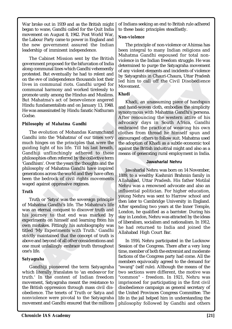War broke out in 1939 and as the British might began to wane, Gandhi called for the Quit India movement on August 8, 1942. Post World War, the Labour Party came to power in England and the new government assured the Indian leadership of imminent independence.

The Cabinet Mission sent by the British government proposed for the bifurcation of India along communal lines which Gandhi vehemently protested. But eventually he had to relent and on the eve of independence thousands lost their lives in communal riots. Gandhi urged for communal harmony and worked tirelessly to promote unity among the Hindus and Muslims. But Mahatma's act of benevolence angered Hindu fundamentalists and on January 13, 1948. He was assassinated by Hindu fanatic Nathuram Godse.

### *Philosophy of Mahatma Gandhi*

processed. But eventually be had to relent and<br>
on the vece of independence thousands lost their<br>
on the vece of independence thousands lost their<br>
communal harmony and worked trielessly to lead him to call off the<br>
commu The evolution of Mohandas Karamchand Gandhi into the 'Mahatma' of our times very much hinges on the principles that were the guiding light of his life. Till his last breath, Gandhiji unflinchingly adhered to these philosophies often referred by the collective term 'Gandhism'. Over the years the thoughts and the philosophy of Mahatma Gandhi have inspired generations across the world and they have often been the bedrock of civil rights movements waged against oppressive regimes.

### *Truth*

mistakes. Fittingly his autobioght<br>
IMy Experiments with Trut<br>
Ily maintained that the concept<br>
e and beyond of all other conside<br>
must unfailingly embrace truth<br>
ilife.<br> **agraha**<br>
Gandhiji pioneered the term S<br>
candhiji p mistakes. Fittingly his autobiog<br>I 'My Experiments with Truth<br>Iy maintained that the concept<br>e and beyond of all other consider<br>must unfailingly embrace truth t<br>life.<br>agraha<br>andhiji pioneered the term S<br>h literally transla Truth or 'Satya' was the sovereign principle of Mahatma Gandhi's life. The Mahatma's life was an eternal conquest to discover truth and his journey to that end was marked by experiments on himself and learning from his own mistakes. Fittingly his autobiography was titled 'My Experiments with Truth.' Gandhi strictly maintained that the concept of truth is above and beyond of all other considerations and one must unfailingly embrace truth throughout one's life.

# *Satyagraha*

Gandhiji pioneered the term Satyagraha which literally translates to 'an endeavor for truth.' In the context of Indian freedom movement, Satyagraha meant the resistance to the British oppression through mass civil disobedience. The tenets of Truth or Satya and nonviolence were pivotal to the Satyagraha movement and Gandhi ensured that the millions

### *Non-violence*

The principle of non-violence or Ahimsa has been integral to many Indian religions and Mahatma Gandhi espoused for total nonviolence in the Indian freedom struggle. He was determined to purge the Satyagraha movement of any violent elements and incidents of violence by Satyagrahis in Chauri-Chaura, Uttar Pradesh led him to call off the Civil Disobedience Movement.

# *Khadi*

Note thousands lost their<br>
are thousands lost their<br>
by Satyagrahis in Chauri-Cl<br>
ots. Gandhi urged for<br>
Industrial in to call off the C<br>
Movement.<br>
Findus and Muslims.<br>
Findus and Muslims.<br>
Findus and Muslims.<br>
Findus and usands lost their<br>
inditinged for<br>
the dominal times of the civil Disobedience<br>
and integed for lost through and Muslims.<br>
Maddi and hand a massuming piece of handspun<br>
and hand a hand hand woren toth, embodies the simplic Khadi, an unassuming piece of handspun and hand-woven cloth, embodies the simplicity synonymous with Mahatma Gandhi's persona. After renouncing the western attire of his advocacy days in South Africa, Gandhi embraced the practice of weaving his own clothes from thread he himself spun and encouraged others to follow suit. Mahatma used the adoption of Khadi as a subtle economic tool against the British industrial might and also as a means of generating rural employment in India.

### **Jawaharlal Nehru**

Jawaharlal Nehru was born on 14 November, 1889, to a wealthy Kashmiri Brahmin family in Allahabad, Uttar Pradesh. His father Motilal Nehru was a renowned advocate and also an influential politician. For higher education, young Nehru was sent to Harrow school and then later to Cambridge University in England. After spending two years at the Inner Temple, London, he qualified as a barrister. During his stay in London, Nehru was attracted by the ideas of liberalism, socialism and nationalism. In 1912, he had returned to India and joined the Allahabad High Court Bar.

In 1916, Nehru participated in the Lucknow Session of the Congress. There after a very long time, member of both the extremist and moderate factions of the Congress party had come. All the members equivocally agreed to the demand for "swaraj" (self rule). Although the means of the two sections were different, the motive was "common" - freedom. In 1921, Nehru was imprisoned for participating in the first civil disobedience campaign as general secretary of the United Provinces Congress Committee. The life in the jail helped him in understanding the philosophy followed by Gandhi and others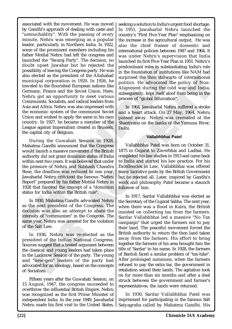ouver upset rawarial out in e rejecteu une relection in substantial being the consisting the Congress party. He was in the foundation of institutions and exhected as the president of the Allahabad surprised the then stalwe Fraction Congress party. He was<br>
Congress party. He was<br>
in the foundation of instituted in the state of the Allahabad<br>
1 in 1920. In 1926, he<br>
politics. He advocated the<br>
he Soviet Union. Here,<br>
unbeguently the computatio associated with the movement. He was moved by Gandhi's approach of dealing with caste and "untouchablity". With the passing of every minute, Nehru was emerging as a popular leader, particularly in Northern India. In 1922, some of the prominent members including his father Motilal Nehru had left the congress and launched the "Swaraj Party". The decision, no doubt upset Jawahar but he rejected the possibility of leaving the Congress party. He was also elected as the president of the Allahabad municipal corporation in 1920. In 1926, he traveled to the flourished European nations like Germany, France and the Soviet Union. Here, Nehru got an opportunity to meet various Communists, Socialists, and radical leaders from Asia and Africa. Nehru was also impressed with the economic system of the communist Soviet Union and wished to apply the same in his own country. In 1927, he became a member of the League against Imperialism created in Brussels, the capital city of Belgium.

During the Guwahati Session in 1928, Mahatma Gandhi announced that the Congress would launch a massive movement if the British authority did not grant dominion status of India within next two years. It was believed that under the pressure of Nehru and Subhash Chandra Bose, the deadline was reduced to one year. Jawaharlal Nehru criticized the famous "Nehru Report" prepared by his father Motilal Nehru in 1928 that favored the concept of a "dominion status for India within the British rule".

In 1930, Mahatma Gandhi advocated Nehru as the next president of the Congress. The decision was also an attempt to abate the intensity of "communism" in the Congress. The same year, Nehru was arrested for the violation of the Salt Law.

year, Nehru was arrested for the Salt Law.<br>
1936, Nehru was re-elected<br>
1936, Nehru was re-elected<br>
dent of the Indian National<br>
es suggest that a heated argument<br>
assical and young leaders had t<br>
Lucknow Session of the pa year, Nehru was arrested for the<br>Salt Law.<br>1936, Nehru was re-elected<br>dent of the Indian National C<br>es suggest that a heated argumen<br>assical and young leaders had ta<br>Lucknow Session of the party. T<br>'new-gen" leaders of the In 1936, Nehru was re-elected as the president of the Indian National Congress. Sources suggest that a heated argument between the classical and young leaders had taken place in the Lucknow Session of the party. The young and "new-gen" leaders of the party had advocated for an ideology, based on the concepts of Socialism.

Fifteen years after the Guwahati Session, on 15 August, 1947, the congress succeeded to overthrow the influential British Empire. Nehru was recognized as the first Prime Minister of independent India. In the year 1949, Jawaharlal Nehru made his first visit to the United States, seeking a solution to India's urgent food shortage. In 1951, Jawaharlal Nehru launched the country's "First Five-Year Plan" emphasizing on the increase in the agricultural output. He was also the chief framer of domestic and international policies between 1947 and 1964. It was under Nehru's supervision that India launched its first Five-Year Plan in 1951. Nehru's predominant roles in substantiating India's role in the foundation of institutions like NAM had surprised the then stalwarts of international politics. He advocated the policy of Non-Alignment during the cold war and India, subsequently, kept itself aloof from being in the process of "global bifurcation".

In 1964, Jawaharlal Nehru suffered a stroke and a heart attack. On 27 May, 1964, Nehru passed away. Nehru was cremated at the Shantivana on the banks of the Yamuna River, Delhi.

### **Vallabhbhai Patel**

The Allahabad scheme and the state of international on an 1926, he advocated the policy of Non-<br>
earn nations like politics. He advocated the policy of Non-<br>
terminons like and the subsequently, kept itself aloof town bein Vallabhbhai Patel was born on October 31, 1875 in Gujarat to Zaverbhai and Ladbai. He completed his law studies in 1913 and came back to India and started his law practice. For his Excellencies in Law, Vallabhbhai was offered many lucrative posts by the British Government but he rejected all. Later, inspired by Gandhi's work and philosophy Patel became a staunch follower of him.

In 1917, Sardar Vallabhbhai was elected as the Secretary of the Gujarat Sabha. The next year, when there was a flood in Kaira, the British insisted on collecting tax from the farmers. Sardar Vallabhbhai led a massive "No Tax campaign" that urged the farmers not to pay their land. The peaceful movement forced the British authority to return the then land taken away from the farmers. His effort to bring together the farmers of his area brought him the title of 'Sardar' to his name. In 1928, the farmers of Bardoli faced a similar problem of "tax-hike". After prolonged summons, when the farmers refused to pay the extra tax, the government in retaliation seized their lands. The agitation took on for more than six months and after a deal struck between the government and farmer's representatives, the lands were returned.

In 1930, Sardar Vallabhbhai Patel was imprisoned for participating in the famous Salt Satyagraha called by Mahatma Gandhi. His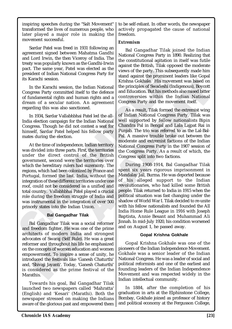inspiring speeches during the "Salt Movement" transformed the lives of numerous people, who later played a major role in making the movement successful.

Sardar Patel was freed in 1931 following an agreement signed between Mahatma Gandhi and Lord Irwin, the then Viceroy of India. The treaty was popularly known as the Gandhi-Irwin pact. The same year, Patel was elected as the president of Indian National Congress Party for its Karachi session.

In the Karachi session, the Indian National Congress Party committed itself to the defence of fundamental rights and human rights and a dream of a secular nation. An agreement regarding this was also sanctioned.

In 1934, Sardar Vallabhbhai Patel led the all-India election campaign for the Indian National Congress. Though he did not contest a seat for himself, Sardar Patel helped his fellow party mates during the election.

The Sarachi session.<br>
In the Karachi session, the Indis and Sarakhi session, the Indis Karachi session, the Indian National the principles of Swadeshi<br>
In the Karachi session, the Indian National the principles of Swadeshi At the time of independence, Indian territory was divided into three parts. First, the territories under the direct control of the British government, second were the territories over which the hereditary rulers had suzerainty. The regions, which had been colonized by France and Portugal, formed the last. India, without the integration of these different territories under one roof, could not be considered as a unified and total country. Vallabhbhai Patel played a crucial role during the freedom struggle of India and was instrumental in the integration of over 500 princely states into the Indian Union.

### **Bal Gangadhar Tilak**

al Gangadhar Thak was a social<br>freedom fighter. He was one of<br>itects of modern India and<br>cates of Swaraj (Self Rule). He were and throughout his life he e<br>e concepts of women education a<br>owerment. To inspire a sense c<br>duce ar Gangaunar Thak was a sociation<br>freedom fighter. He was one of<br>itects of modern India and<br>cates of Swaraj (Self Rule). He v<br>mer and throughout his life he ei<br>e concepts of women education a<br>werment. To inspire a sense of Bal Gangadhar Tilak was a social reformer and freedom fighter. He was one of the prime architects of modern India and strongest advocates of Swaraj (Self Rule). He was a great reformer and throughout his life he emphasized on the concepts of women education and women empowerment. To inspire a sense of unity, he introduced the festivals like 'Ganesh Chaturthi' and, 'Shivaji Jayanti'. Today, 'Ganesh Chaturthi' is considered as the prime festival of the Marathis.

Towards his goal, Bal Gangadhar Tilak launched two newspapers called 'Mahratta' (English) and 'Kesari' (Marathi). Both the newspaper stressed on making the Indians aware of the glorious past and empowered them

to be self-reliant. In other words, the newspaper actively propagated the cause of national freedom.

### *Extremism*

Bal Gangadhar Tilak joined the Indian National Congress Party in 1890. Realizing that the constitutional agitation in itself was futile against the British, Tilak opposed the moderate views of the party. This subsequently made him stand against the prominent leaders like Gopal Krishna Gokhale. His movement was based on the principles of Swadeshi (Indigenous), Boycott and Education. But his methods also raised bitter controversies within the Indian National Congress Party and the movement itself.

Franch Congress Party for the properties of Strandal and Schale. His movies of the properties of Swadeshi (tted itself to the defence and Education. But his method nation. An agreement congress Party and the movies and and As a result, Tilak formed the extremist wing of Indian National Congress Party. Tilak was well supported by fellow nationalists Bipin Chandra Pal in Bengal and Lala Lajpat Rai in Punjab. The trio was referred to as the Lal-Bal-Pal. A massive trouble broke out between the moderate and extremist factions of the Indian National Congress Party in the 1907 session of the Congress Party. As a result of which, the Congress split into two factions.

Frishna Cokhale. His movement was based on<br>
Indian National<br>
If to the defence<br>
and Education. But his methods also raised bitter<br>
In rights and a<br>
controwersies within the Indian National<br>
An agreement<br>
Congress Party and During 1908-1914, Bal Gangadhar Tilak spent six years rigorous imprisonment in Mandalay Jail, Burma. He was deported because of his alleged support to the Indian revolutionaries, who had killed some British people. Tilak returned to India in 1915 when the political situation was fast changing under the shadow of World War I. Tilak decided to re-unite with his fellow nationalists and founded the All India Home Rule League in 1916 with Joseph Baptista, Annie Besant and Muhammad Ali Jinnah. In mid-July 1920, his condition worsened and on August 1, he passed away.

# **Gopal Krishna Gokhale**

Gopal Krishna Gokhale was one of the pioneers of the Indian Independence Movement. Gokhale was a senior leader of the Indian National Congress. He was a leader of social and political reformists and one of the earliest and founding leaders of the Indian Independence Movement and was respected widely in the Indian intellectual community.

In 1884, after the completion of his graduation in arts at the Elphinstone College, Bombay, Gokhale joined as professor of history and political economy at the Fergusson College,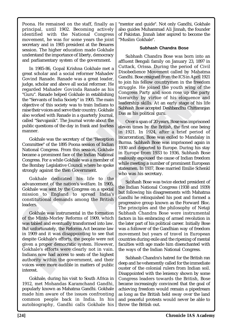Poona. He remained on the staff, finally as principal, until 1902. Becoming actively identified with the National Congress movement, he was for some years the joint secretary and in 1905 president at the Benares session. The higher education made Gokhale understand the importance of liberty, democracy and parliamentary system of the government.

In 1985-86, Gopal Krishna Gokhale met a Utilicaté, Orissa. During (Equal reformer Mahadev (Govind Ranade was a great leader, Gandhi, Bose resigned from Judge scholar and above all social reformer. He to to join his follow In 1985-86, Gopal Krishna Gokhale met a great scholar and a social reformer Mahadev Govind Ranade. Ranade was a great leader, judge, scholar and above all social reformer. He regarded Mahadev Govinda Ranade as his "Guru". Ranade helped Gokhale in establishing the "Servants of India Society" in 1905. The main objective of this society was to train Indians to raise their voices and serve their country. Gokhale also worked with Ranade in a quarterly Journal, called "Sarvajanik". The Journal wrote about the public questions of the day in frank and fearless manner.

Gokhale was the secretary of the "Reception Committee" of the 1895 Poona session of Indian National Congress. From this session, Gokhale became a prominent face of the Indian National Congress. For a while Gokhale was a member of the Bombay Legislative Council where he spoke strongly against the then Government.

Gokhale dedicated his life to the advancement of the nation's welfare. In 1905, Gokhale was sent by the Congress on a special mission to England to spread India's constitutional demands among the British leaders.

Profiled and eventually transformed<br>abled and eventually transformed<br>fortunately, the Reforms Act b<br>09 and it was disappointing t<br>te Gokhale's efforts, the people<br>a proper democratic system.<br>ale's efforts were clearly no<br>n Minto-Mortey Reforms of 150<br>bled and eventually transformed<br>fortunately, the Reforms Act be<br>99 and it was disappointing to<br>the Gokhale's efforts, the people<br>a proper democratic system. I<br>ale's efforts were clearly not<br>is n Gokhale was instrumental in the formation of the Minto-Morley Reforms of 1909, which was tabled and eventually transformed into law. But unfortunately, the Reforms Act became law in 1909 and it was disappointing to see that despite Gokhale's efforts, the people were not given a proper democratic system. However, Gokhale's efforts were clearly not in vain. Indians now had access to seats of the highest authority within the government, and their voices were more audible in matters of public interest.

Gokhale, during his visit to South Africa in 1912, met Mohandas Karamchand Gandhi, popularly known as Mahatma Gandhi. Gokhale made him aware of the issues confronting common people back in India. In his autobiography, Gandhi calls Gokhale his

"mentor and guide". Not only Gandhi, Gokhale also guides Muhammad Ali Jinnah, the founder of Pakistan. Jinnah later aspired to become the "Muslim Gokhale".

### **Subhash Chandra Bose**

Subhash Chandra Bose was born into an affluent Bengali family on January 23, 1897 in Cuttack, Orissa. During the period of Civil Disobedience Movement called by Mahatma Gandhi. Bose resigned from the ICS in April 1921 to join his fellow countrymen in the freedom struggle. He joined the youth wing of the Congress Party and soon rose up the party hierarchy by virtue of his eloquence and leadership skills. At an early stage of his life Subhash Bose accepted Deshbandhu Chittaranjan Das as his political guru.

Extristma Gokhale met a<br>
le Disobedience Movement c<br>
de was a great leader,<br>
byinda Ranade as his<br>
of Colonin Biselow country<br>
of the stablishing<br>
congress Party and soon<br>
Gokhale in establishing<br>
congress Party and soon<br> The Manadev and the states and the state of the state of the state of the state of the state) and reformer. He is translabing to point his fellow countrymen in the freedom and a reformer. He joins his fellow countrymen in Over a span of 20 years, Bose was imprisoned eleven times by the British, the first one being in 1921. In 1924, after a brief period of incarceration, Bose was exiled to Mandalay in Burma. Subhash Bose was imprisoned again in 1930 and deported to Europe. During his stay in Europe from 1933 to 1936, Subhash Bose zealously espoused the cause of Indian freedom while meeting a number of prominent European statesmen. In 1937, Bose married Emilie Schenkl who was his secretary.

Subhash Bose was twice elected president of the Indian National Congress (1938 and 1939) but following his disagreements with Mahatma Gandhi he relinquished his post and formed a progressive group known as the Forward Bloc. The principles and the philosophy of Netaji Subhash Chandra Bose were instrumental factors in his embracing of armed revolution in the later part of his political career. Initially Bose was a follower of the Gandhian way of freedom movement but years of travel in European countries during exile and the ripening of mental faculties with age made him disenchanted with the ways of the Indian National Congress.

Subhash Chandra's hatred for the British ran deep and he vehemently called for the immediate ouster of the colonial rulers from Indian soil. Disappointed with the leniency shown by some Congress leaders towards the British, Bose became increasingly convinced that the goal of achieving freedom would remain a pipedream as long as the British held sway over the land and peaceful protests would never be able to throw the British out.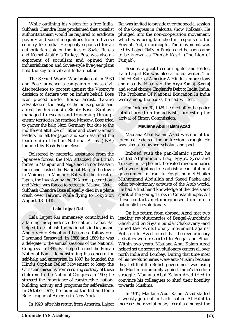While outlining his vision for a free India, Subhash Chandra Bose proclaimed that socialist authoritarianism would be required to eradicate poverty and social inequalities from a diverse country like India. He openly espoused for an authoritarian state on the lines of Soviet Russia and Kemal Atatürk's Turkey. Bose was also an exponent of socialism and opined that industrialization and Soviet-style five-year plans held the key to a vibrant Indian nation.

The Second World War broke out in 1939<br>
The Second Nord Mar broke out in 1939<br>
The Second Nord Mar broke and a campaign of mass civil<br>
and a study, History of the<br>
disobelednee to protest against the Vicenvy's and social c Experience out in 1939<br>
United States of America: A<br>
campaign of mass civil<br>
on India's behalf. Bose<br>
on India's behalf. Bose<br>
on India's behalf. Bose<br>
on India's behalf. Bose<br>
on India's behalf. Bose<br>
on India's behalf. B The Second World War broke out in 1939 and Bose launched a campaign of mass civil disobedience to protest against the Viceroy's decision to declare war on India's behalf. Bose was placed under house arrest. Taking advantage of the laxity of the house guards and aided by his cousin Sishir Bose, Subhash managed to escape and traversing through enemy territories he reached Moscow. Bose tried to garner the help Nazi Germany but due to the indifferent attitude of Hitler and other German leaders he left for Japan and soon assumed the leadership of Indian National Army (INA) founded by Rash Behari Bose.

Bolstered by material assistance from the Japanese forces, the INA attacked the British forces in Manipur and Nagaland in northeastern India and hosted the National Flag in the town in Moirang, in Manipur. But with the defeat of Japan, the invasion by the INA soon petered out and Netaji was forced to retreat to Malaya. Netaji Subhash Chandra Bose allegedly died in a plane crash over Taiwan, while flying to Tokyo on August 18, 1945.

### **Lala Lajpat Rai**

and to establish the nationalistic<br>do -Vedic School and became a<br>nand Saraswati. In 1888 and 1<br>egate to the annual sessions of the<br>ress. In 1895, Rai helped found<br>onal Bank, demonstrating his onelp and enterprise. In 1897, Interpendence and individual to establish the nationalistic<br>o-Vedic School and became a f<br>nand Saraswati. In 1888 and 18<br>egate to the annual sessions of th<br>ress. In 1895, Rai helped found<br>onal Bank, demonstrating his compa Lala Lajpat Rai immensely contributed in attaining independence the nation. Lajpat Rai helped to establish the nationalistic Dayanand Anglo-Vedic School and became a follower of Dayanand Saraswati. In 1888 and 1889 he was a delegate to the annual sessions of the National Congress. In 1895, Rai helped found the Punjab National Bank, demonstrating his concern for self-help and enterprise. In 1897, he founded the Hindu Orphan Relief Movement to keep the Christian missions from securing custody of these children. In the National Congress in 1900, he stressed the importance of constructive, nationbuilding activity and programs for self-reliance. In October 1917, he founded the Indian Home Rule League of America in New York.

In 1920, after his return from America, Lajpat | increase the revolutionary recruits amongst the

Rai was invited to preside over the special session of the Congress in Calcutta, (now Kolkata). He plunged into the non-cooperation movement, which was being launched in response to the Rowlatt Act, in principle. The movement was led by Lajpat Rai's in Punjab and he soon came to be known as "Punjab Kesri" (The Lion of Punjab).

Besides, a great freedom fighter and leader, Lala Lajpat Rai was also a noted writer. The United States of America: A Hindu's impressions and a study, History of the Arya Samaj, Swaraj and social change, England's Debt to India: India, The Problems Of National Education In India were among the books, he had written.

On October 30, 1928, he died after the police lathi-charged on the activists, protesting the arrival of Simon Commission.

### **Maulana Abul Kalam Azad**

Maulana Abul Kalam Azad was one of the foremost leaders of Indian freedom struggle. He was also a renowned scholar, and poet.

ONE OUT IT PAPY United States of America: A Hindus imperessions<br>
In of mass civil and a study, History of the Arya Samaj Swaraj<br>
st the Viceroy's and social change, England's Debt to India. India,<br>
ia's behalf. Bose Tuba a Imbued with the pan-Islamic spirit, he visited Afghanistan, Iraq, Egypt, Syria and Turkey. In Iraq he met the exiled revolutionaries who were fighting to establish a constitutional government in Iran. In Egypt, he met Shaikh Muhammad Abdullah and Saeed Pasha and other revolutionary activists of the Arab world. He had a first hand knowledge of the ideals and spirit of the young Turks in Constantinople. All these contacts metamorphosed him into a nationalist revolutionary.

On his return from abroad; Azad met two leading revolutionaries of Bengal-Aurobindo Ghosh and Sri Shyam Sundar Chakravarty,-and joined the revolutionary movement against British rule. Azad found that the revolutionary activities were restricted to Bengal and Bihar. Within two years, Maulana Abul Kalam Azad helped set up secret revolutionary centers all over north India and Bombay. During that time most of his revolutionaries were anti-Muslim because they felt that the British government was using the Muslim community against India's freedom struggle. Maulana Abul Kalam Azad tried to convince his colleagues to shed their hostility towards Muslims.

In 1912, Maulana Abul Kalam Azad started a weekly journal in Urdu called Al-Hilal to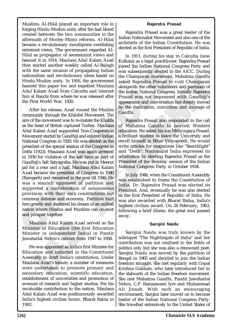Muslims. Al-Hilal played an important role in forging Hindu-Muslim unity after the bad blood created between the two communities in the aftermath of Morley-Minto reforms. Al-Hilal became a revolutionary mouthpiece ventilating extremist views. 'The government regarded Al-Hilal as propagator of secessionist views and banned it in 1914. Maulana Abul Kalam Azad then started another weekly called Al-Balagh with the same mission of propagating Indian nationalism and revolutionary ideas based on Hindu-Muslim unity. In 1916, the government banned this paper too and expelled Maulana Abul Kalam Azad from Calcutta and internet him at Ranchi from where he was released after the First World War, 1920.

ment started and<br>nonline ment started and the main Rational contains and revolutionally and revolutionally and revolutionally in 1916, the government assets<br>parally elected to rationally unity. In 1916, the government ass Example the multimage of propagating Indian<br>
of propagating Indian<br>
1916, the government<br>
1916, the government<br>
1916, the government<br>
1916, the government<br>
1916, the government<br>
1916, the government<br>
1916, the government<br> After his release, Azad roused the Muslim community through the Khilafat Movement. The aim of the movement was to re-instate the Khalifa as the head of British captured Turkey. Maulana Abul Kalam Azad supporded Non-Cooperation Movement started by Gandhiji and entered Indian National Congress in 1920. He was elected as the president of the special session of the Congress in Delhi (1923). Maulana Azad was again arrested in 1930 for violation of the salt laws as part of Gandhiji's Salt Satyagraha. He was put in Meerut jail for a year and a half. Maulana Abul Kalam Azad became the president of Congress in 1940 (Ramgarh) and remained in the post till 1946. He was a staunch opponent of partition and supported a confederation of autonomous provinces with their own constitutions but common defense and economy. Partition hurt him greatly and shattered his dream of an unified nation where Hindus and Muslims can co-exist and prosper together.

Maulana Abul Kalam Azad served as the Minister of Education (the first Education Minister in independent India) in Pandit Jawaharlal Nehru's cabinet from 1947 to 1958.

aulana Abul Kalam Azad servater of Education (the first I<br>ster in independent India)<br>iarlal Nehru's cabinet from 194<br>e was appointed as India's first N<br>ation and inducted in the Co<br>mbly to draft India's constitution<br>ana Az aulana Abul Kalam Azad serv<br>ter of Education (the first E<br>ter in independent India) i<br>arlal Nehru's cabinet from 1947<br>e was appointed as India's first M<br>ation and inducted in the Co<br>nbly to draft India's constitution<br>and A He was appointed as India's first Minister for Education and inducted in the Constituent Assembly to draft India's constitution. Under Maulana Azad's tenure, a number of measures were undertaken to promote primary and secondary education, scientific education, establishment of universities and promotion of avenues of research and higher studies. For his invaluable contribution to the nation, Maulana Abul Kalam Azad was posthumously awarded India's highest civilian honor, Bharat Ratna in 1992.

### **Rajendra Prasad**

Rajendra Prasad was a great leader of the Indian Nationalist Movement and also one of the architects of the Indian Constitution. He was elected as the first President of Republic of India.

In 1911, during his stay in Calcutta (now Kolkata) as a legal practitioner, Rajendra Prasad joined the Indian National Congress Party and was subsequently elected to the AICC. During the Champaran movement, Mahatma Gandhi asked Rajendra Prasad to visit Champaran alongwith the other volunteers and partisans of the Indian National Congress. Initially Rajendra Prasad was not impressed with Gandhiji's appearance and conversation but deeply moved by the dedication, conviction and courage of Gandhi.

ideas based on the Champaran movement, Mahatma Gandhi he government asked Rajendra Prasad to visit Champaran divided Rajendra shelled Maulana alongwith the other volunters and partisans of the Muslim are relaxed after Pras Rajendra Prasad also responded to the call of Mahatma Gandhi to boycott Western education. He asked his son Mrityunjaya Prasad, a brilliant student to leave the University and enroll himself in Bihar Vidyapeeth. He would write articles for magazines like "Searchlight" and "Desh". Nationalist India expressed its admiration by electing Rajendra Prasad as the President of the Bombay session of the Indian National Congress Party in October 1934.

In July 1946, when the Constituent Assembly was established to frame the Constitution of India, Dr. Rajendra Prasad was elected its President. And, eventually he was also elected as the first President of Republic of India. He was also awarded with Bharat Ratna, India's highest civilian award. On 28 February, 1963, following a brief illness, the great soul passed away.

#### **Sarojini Naidu**

Sarojini Naidu was truly known by the sobriquet "The Nightingale of India" and her contribution was not confined to the fields of politics only but she was also a renowned poet. Sarojini Naidu was moved by the partition of Bengal in 1905 and decided to join the Indian freedom struggle. She met regularly with Gopal Krishna Gokhale, who later introduced her to the stalwarts of the Indian freedom movement. She met Mahatma Gandhi, Pandit Jawaharlal Nehru, C.P. Ramaswami Iyer and Muhammad Ali Jinnah. With such an encouraging environment, Sarojini later moved on to become leader of the Indian National Congress Party. She travelled extensively to the United States of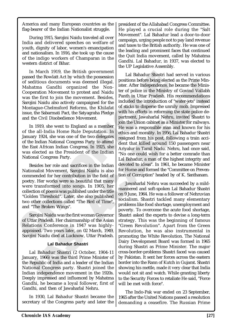America and many European countries as the flag-bearer of the Indian Nationalist struggle.

During 1915, Sarojini Naidu traveled all over India and delivered speeches on welfare of youth, dignity of labor, women's emancipation and nationalism. In 1916, she took up the cause of the indigo workers of Champaran in the western district of Bihar.

In March 1919, the British government passed the Rowlatt Act by which the possession of seditious documents was deemed illegal. Mahatma Gandhi organized the Non-Cooperation Movement to protest and Naidu was the first to join the movement. Besides, Sarojini Naidu also actively campaigned for the Montague-Chelmsford Reforms, the Khilafat issue, the Sabarmati Pact, the Satyagraha Pledge and the Civil Disobedience Movement.

In 1919, she went to England as a member of the all-India Home Rule Deputation. In January 1924, she was one of the two delegates of the Indian National Congress Party to attend the East African Indian Congress. In 1925, she was elected as the President of the Indian National Congress Party.

Besides her role and sacrifices in the Indian Nationalist Movement, Sarojini Naidu is also commended for her contribution in the field of poetry. Her works were so beautiful that many were transformed into songs. In 1905, her collection of poems was published under the title "Golden Threshold". Later, she also published two other collections called "The Bird of Time", and "The Broken Wings".

Sarojini Naidu was the first woman Governor of Uttar Pradesh. Her chairmanship of the Asian Relations Conference in 1947 was highlyappraised. Two years later, on 02 March, 1949, Sarojini Naidu died at Lucknow, Uttar Pradesh.

### **Lal Bahadur Shastri**

tions Conference in 1947 w<br>aised. Two years later, on 02 M<br>ini Naidu died at Lucknow, Utt<br>**Lal Bahadur Shastri**<br>.al Bahadur Shastri (2 Octobe<br>ary, 1966) was the third Prime<br>Republic of India and a leader of<br>onal Congress p ions Conference in 1947 wa<br>aised. Two years later, on 02 Mi<br>ini Naidu died at Lucknow, Utta<br>**Lal Bahadur Shastri**<br>al Bahadur Shastri (2 Octobe<br>ary, 1966) was the third Prime N<br>epublic of India and a leader of<br>onal Congress Lal Bahadur Shastri (2 October, 1904-11 January, 1966) was the third Prime Minister of the Republic of India and a leader of the Indian National Congress party. Shastri joined the Indian independence movement in the 1920s. Deeply impressed and influenced by Mahatma Gandhi, he became a loyal follower, first of Gandhi, and then of Jawaharlal Nehru.

In 1930, Lal Bahadur Shastri became the secretary of the Congress party and later the president of the Allahabad Congress Committee. He played a crucial role during the "Salt Movement". Lal Bahadur lead a door-to-door campaign, urging people not to pay land revenue and taxes to the British authority. He was one of the leading and prominent faces that continued the Quit India movement, called by Mahatma Gandhi. Lal Bahadur, in 1937, was elected to the UP Legislative Assembly.

In March 1919, the British government<br>
and The Rowsell (La Bahadur Shastri ha passes di Re Rowlat Act by which the possession of seditious documents was deemed illegal. Mahatma Gandhi organized the Non-<br>
Mahatma Gandhi or Exittish movement and light to the movement and the same of an all the movement. Besides, and the movement. Besides, and the movement and Naidu term of police in the Ministry the movement. Besides, the satyagraha Pledge in  $\begin{tabular}{ll} \textbf{deemel} & \textbf{p} & \textbf{p} \\ \hline \textbf{deemel} & \textbf{R} & \textbf{M} \\ \hline \textbf{d} & \textbf{M} \\ \textbf{d} & \textbf{S} & \textbf{R} \\ \textbf{d} & \textbf{S} & \textbf{S} \\ \textbf{d} & \textbf{S} & \textbf{S} \\ \textbf{d} & \textbf{S} & \textbf{S} \\ \textbf{d} & \textbf{S} & \textbf{S} \\ \textbf{d} & \textbf{S} & \textbf{S} \\ \textbf{d} & \textbf{S} & \textbf{S}$ Lal Bahadur Shastri had served in various positions before being elected as the Prime Minister. After Independence, he became the Minister of police in the Ministry of Govind Vallabh Panth in Uttar Pradesh. His recommendations included the introduction of "water-jets" instead of sticks to disperse the unruly mob. Impressed with his efforts in reforming the state police department, Jawaharlal Nehru, invited Shastri to join the Union cabinet as a Minister for railways. He was a responsible man and known for his ethics and morality. In 1956, Lal Bahadur Shastri resigned from his post, following a train accident that killed around 150 passengers near Ariyalur in Tamil Nadu. Nehru, had once said, "No one could wish for a better comrade than Lal Bahadur, a man of the highest integrity and devoted to ideas". In 1961, he became Minister for Home and formed the "Committee on Prevention of Corruption" headed by of K. Santhanam.

Jawaharlal Nehru was succeeded by a mildmannered and soft-spoken Lal Bahadur Shastri on 9 June, 1964. He was a follower of Nehruvian socialism. Shastri tackled many elementary problems like food shortage, unemployment and poverty. To overcome the acute food shortage, Shastri asked the experts to devise a long-term strategy. This was the beginning of famous "Green Revolution". Apart from the Green Revolution, he was also instrumental in promoting the White Revolution. The National Dairy Development Board was formed in 1965 during Shastri as Prime Minister. The major cross-border-problems Shastri faced was caused by Pakistan. It sent her forces across the eastern border into the Rann of Kutch in Gujarat. Shastri showing his mettle, made it very clear that India would not sit and watch. While granting liberty to the Security Forces to retaliate He said, "Force will be met with force".

The Indo-Pak war ended on 23 September, 1965 after the United Nations passed a resolution demanding a ceasefire. The Russian Prime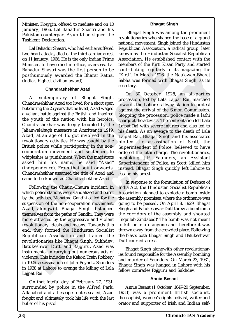Minister, Kosygin, offered to mediate and on 10 January, 1966, Lal Bahadur Shastri and his Pakistan counterpart Ayub Khan signed the Tashkent Declaration.

Lal Bahadur Shastri, who had earlier suffered two heart attacks, died of the third cardiac arrest on 11 January, 1966. He is the only Indian Prime Minister, to have died in office, overseas. Lal Bahadur Shastri was the first person to be posthumously awarded the Bharat Ratna, (India's highest civilian award).

### **Chandrashekhar Azad**

namento care use in case is considered to the contributing regularly to posthumously awarded the Bharat Ratna, Thit". In March 1926, the Unidia's highest civilian award).<br>
Chandrashekhar Azad Contemporary of Bhagat Singh, A contemporary of Bhagat Singh, Chandrasehkhar Azad too lived for a short span but during the 25 years that he lived, Azad waged a valiant battle against the British and inspired the youth of the nation with his heroics. Chandrashekhar was deeply troubled by the Jalianwalabagh massacre in Amritsar in 1919. Azad, at an age of 15, got involved in the revolutionary activities. He was caught by the British police while participating in the noncooperation movement and sentenced to whiplashes as punishment. When the magistrate asked him his name, he said "Azad" (independence). From that point onwards, Chandrashekhar assumed the title of Azad and came to be known as Chandrashekhar Azad.

attracted by the aggressive and<br>utionary ideals and means. Tow<br>they formed the Hindustan<br>blican Association and tra<br>utionaries like Bhagat Singh,<br>keshwar Dutt, and Rajguru.<br>1.<br>mental in carrying out numero<br>note. This inclu attracted by the aggressive an<br>utionary ideals and means. Tow<br>they formed the Hindustan<br>blican Association and trai<br>utionaries like Bhagat Singh, <br>teshwar Dutt, and Rajguru. A<br>mental in carrying out numero<br>ce. This include Following the Chauri-Chaura incident, in which police stations were vandalized and burnt by the activists, Mahatma Gandhi called for the suspension of the non-cooperation movement. Azad, alongwith Bhagat Singh distanced themselves from the paths of Gandhi. They were more attracted by the aggressive and violent revolutionary ideals and means. Towards this end, they formed the Hindustan Socialist Republican Association and trained the revolutionaries like Bhagat Singh, Sukhdev, Batukeshwar Dutt, and Rajguru. Azad was instrumental in carrying out numerous acts of violence. This includes the Kakori Train Robbery in 1926, assassination of John Poyantz Saunders in 1928 at Lahore to avenge the killing of Lala Lajpat Rai.

On that fateful day of February 27, 1931, surrounded by police in the Alfred Park, Allahabad and all escape routes sealed, Azad fought and ultimately took his life with the last bullet of his pistol.

# **Bhagat Singh**

 Bhagat Singh was among the prominent revolutionaries who shaped the base of a grand national movement. Singh joined the Hindustan Republican Association, a radical group, later known as the Hindustan Socialist Republican Association. He established contact with the members of the Kirti Kisan Party and started contributing regularly to its magazine, the "Kirti". In March 1926, the Naujawan Bharat Sabha was formed with Bhagat Singh, as its secretary.

the first person to be<br>
ed the Bharat Ratna,<br>
"Kirti". In March 1926, the<br>
saward).<br>
Sabha was formed with Bl<br>
secretary.<br>
On 30 October, 192<br>
of Bhagat Singh,<br>
procession, led by Lala La<br>
no lived for a short span<br>
toward Bharat Ratna, "Kirti". In March 1926, the Naujawan Bharat Sabha was formed with Bhagat Singh, as its<br>secretary.<br>
(on 30 October, 1928, an all-parties<br>
hagat Singh, correspondent to procession, led by Lala Lajpat Rai, march On 30 October, 1928, an all-parties procession, led by Lala Lajpat Rai, marched towards the Lahore railway station to protest against the arrival of the Simon Commission. Stopping the procession, police made a lathi charge at the activists. The confrontation left Lala Lajpat Rai with severe injuries and also led to his death. As an avenge to the death of Lala Lajpat Rai, Bhagat Singh and his associates plotted the assassination of Scott, the Superintendent of Police, believed to have ordered the lathi charge. The revolutionaries, mistaking J.P. Saunders, an Assistant Superintendent of Police, as Scott, killed him instead. Bhagat Singh quickly left Lahore to escape his arrest.

In response to the formulation of Defence of India Act, the Hindustan Socialist Republican Association planned to explode a bomb inside the assembly premises, where the ordinance was going to be passed. On April 8, 1929, Bhagat Singh and Batukeshwar Dutt threw a bomb onto the corridors of the assembly and shouted 'Inquilab Zindabad!' The bomb was not meant to kill or injure anyone and therefore it was thrown away from the crowded place. Following the blasts both Bhagat Singh and Batukeshwar Dutt courted arrest.

Bhagat Singh alongwith other revolutionaries found responsible for the Assembly bombing and murder of Saunders. On March 23, 1931, Bhagat Singh was hanged in Lahore with his fellow comrades Rajguru and Sukhdev.

### **Annie Besant**

Annie Besant (1 October, 1847-20 September, 1933) was a prominent British socialist, theosophist, women's rights activist, writer and orator and supporter of Irish and Indian self-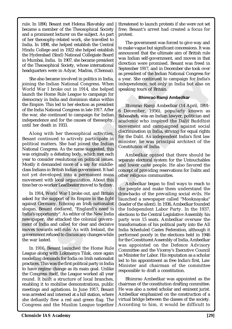rule. In 1890, Besant met Helena Blavatsky and became a member of the Theosophical Society and a prominent lecturer on the subject. As part of her theosophy-related work, she travelled to India. In 1898, she helped establish the Central Hindu College and in 1922 she helped establish the Hyderabad (Sind) National Collegiate Board in Mumbai, India. In 1907, she became president of the Theosophical Society, whose international headquarters were in Adyar, Madras, (Chennai).

She also became involved in politics in India, joining the Indian National Congress. When World War I broke out in 1914, she helped launch the Home Rule League to campaign for democracy in India and dominion status within the Empire. This led to her election as president of the India National Congress in late 1917. After the war, she continued to campaign for Indian independence and for the causes of theosophy, until her death in 1933.

meadquates were in Adyar, Madnas, (Chemia).<br>
Sine algo became involved in politics in India, a<br>
sine space. She continued to compare the molecular politics in India, a<br>
year. She continued to the She in 1914, she helped s Noted in politics in India, a specident of the Indian Noted in politics in India, a year. She continued to compaign for the independence, not only in the needton as president league to campaign for the dependence, not only Along with her theosophical activities, Besant continued to actively participate in political matters. She had joined the Indian National Congress. As the name suggested, this was originally a debating body, which met each year to consider resolutions on political issues. Mostly it demanded more of a say for middleclass Indians in British Indian government. It had not yet developed into a permanent mass movement with local organization. About this time her co-worker Leadbeater moved to Sydney.

In 1914, World War I broke out, and Britain asked for the support of its Empire in the fight against Germany. Echoing an Irish nationalist slogan, Besant declared, "England's need is India's opportunity". As editor of the New India newspaper, she attacked the colonial government of India and called for clear and decisive moves towards self-rule. As with Ireland, the government refused to discuss any changes while the war lasted.

t of India and called for clear at<br>es towards self-rule. As with I<br>rnment refused to discuss any charakted.<br>n 1916, Besant launched the H<br>ue along with Lokmanya Tilak,<br>elling demands for India on Irish<br>ices. This was the f of India and called for clear an<br>es towards self-rule. As with Ir<br>rnment refused to discuss any cha<br>var lasted.<br>1916, Besant launched the H<br>ue along with Lokmanya Tilak,<br>elling demands for India on Irish<br>ices. This was the In 1916, Besant launched the Home Rule League along with Lokmanya Tilak, once again modelling demands for India on Irish nationalist practices. This was the first political party in India to have regime change as its main goal. Unlike the Congress itself, the League worked all year round. It built a structure of local branches, enabling it to mobilise demonstrations, public meetings and agitations. In June 1917, Besant was arrested and interned at a hill station, where she defiantly flew a red and green flag. The Congress and the Muslim League together threatened to launch protests if she were not set free; Besant's arrest had created a focus for protest.

The government was forced to give way and to make vague but significant concessions. It was announced that the ultimate aim of British rule was Indian self-government, and moves in that direction were promised. Besant was freed in September 1917, and in December she took over as president of the Indian National Congress for a year. She continued to campaign for India's independence, not only in India but also on speaking tours of Britain.

### **Bhimrao Ramji Ambedkar**

points in mia. 4 spear. Since continue to campagn for mia.<br>
Congress. When independence, not only in India but also on<br>
2.0 compaign for speaking tours of Britain.<br>
to campaign for Halan speaking tours of Britain.<br>
to camp Bhimrao Ramji Ambedkar (14 April, 1891- 6 December, 1956), popularly known as Babasaheb, was an Indian lawyer, politician and academic who inspired the Dalit Buddhist movement and campaigned against social discrimination in India, striving for equal rights for the Dalit. As independent India's first law minister, he was principal architect of the Constitution of India.

Ambedkar opined that there should be separate electoral system for the Untouchables and lower caste people. He also favored the concept of providing reservations for Dalits and other religious communities.

Ambedkar began to find ways to reach to the people and make them understand the drawbacks of the prevailing social evils. He launched a newspaper called "Mooknayaka" (leader of the silent). In 1936, Ambedkar founded the Independent Labor Party. In the 1937, elections to the Central Legislative Assembly his party won 15 seats. Ambedkar oversaw the transformation of his political party into the All India Scheduled Castes Federation, although it performed poorly in the elections held in 1946 for the Constituent Assembly of India. Ambedkar was appointed on the Defence Advisory Committee and the Viceroy's Executive Council as Minister for Labor. His reputation as a scholar led to his appointment as free India's first, Law Minister and chairman of the committee responsible to draft a constitution.

Bhimrao Ambedkar was appointed as the chairman of the constitution drafting committee. He was also a noted scholar and eminent jurist. Ambedkar emphasized on the construction of a virtual bridge between the classes of the society. According to him, it would be difficult to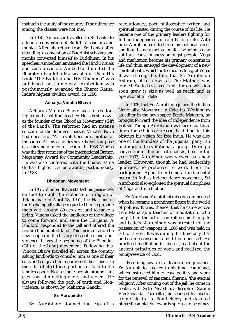maintain the unity of the country if the difference among the classes were not met.

In 1950, Ambedkar travelled to Sri Lanka to attend a convention of Buddhist scholars and monks. After his return from Sri Lanka after attending a convention of Buddhist scholars and monks converted himself to Buddhism. In his speeches, Ambedkar lambasted the Hindu rituals and caste division. Ambedkar founded the Bharatiya Bauddha Mahasabha in 1955. His book "The Buddha and His Dhamma" was published posthumously. Ambedkar was posthumously awarded the Bharat Ratna, India's highest civilian award, in 1990.

### **Acharya Vinoba Bhave**

and caste division. Ambedkar founded the sugge units of the sugge of the spiritual path, which he term<br>book "The Buddha Andhasabha in 1955. His sir [1 was during this time the book "The Buddha and His Dhamma" was a formed Acharya Vinoba Bhave was a freedom fighter and a spiritual teacher. He is best known as the founder of the 'Bhoodan Movement' (Gift of the Land). The reformer had an intense concern for the deprived masses. Vinoba Bhave had once said, "All revolutions are spiritual at the source. All my activities have the sole purpose of achieving a union of hearts." In 1958, Vinoba was the first recipient of the international Ramon Magsaysay Award for Community Leadership. He was also conferred with the Bharat Ratna (India's highest civilian awards) posthumously in 1983.

#### **Bhoodan Movement**

me forward and save the Handord, responded to the call and ced amount of land. This incident<br>red amount of land. This incident<br>hapter in the history of sacrifice<br>nce. It was the beginning of the<br>of the Land) movement. Foll me forward and save the Ha<br>ord, responded to the call and o<br>ed amount of land. This inciden<br>hapter in the history of sacrifices<br>ce. It was the beginning of the<br>of the Land) movement. Follov<br>a Bhave traveled all across the<br> In 1951, Vinoba Bhave started his peace-trek on foot through the violence-torn region of Telangana. On April 18, 1951, the Harijans of the Pochampalli village requested him to provide them with around 80 acres of land to make a living. Vinoba asked the landlords of the village to come forward and save the Harijans. A landlord, responded to the call and offered the required amount of land. This incident added a new chapter in the history of sacrifices and nonviolence. It was the beginning of the Bhoodan (Gift of the Land) movement. Following this, Vinoba Bhave traveled all across the country asking landlords to consider him as one of their sons and so give him a portion of their land. He then distributed those portions of land to the landless poor. Not a single people around him ever saw him getting angry and violent. He always followed the path of truth and Nonviolence, as shown by Mahatma Gandhi.

### **Sri Aurobindo**

revolutionary, poet, philosopher, writer, and spiritual master, during the course of his life. He became one of the primary leaders fighting for Indian independence, from British rule. With time, Aurobindo drifted from his political career and found a new motive in life - bringing a new spiritual consciousness amongst people. Yoga and meditation became his primary concerns in life and thus, emerged the development of a new spiritual path, which he termed as Integral Yoga. It was during this time that Sri Aurobindo Ashram, also known as The Mother, was formed. Started as a small unit, the organization soon grew is size as well as reach and is operational till date.

mediate thanks and a model the and an intensity. Ambed in 1955. His specified the shamma" was left this Dhamma" was left thanks above also known as sly. Ambedkar was formed. Started as a small under the Bharat Ratna, soon The method and the states are the Harily and the Harily and the Harily and the Harily and the Harily and the method of the method is the Mother, was a freedom at a formed. Started as a small unit, the organization Bharat R In 1906, that Sri Aurobindo joined the Indian Nationalist Movement in Calcutta. Working as an editor in the newspaper 'Bande Mataram, he brought forward the idea of independence from British. Though Aurobindo was arrested three times, for sedition or treason, he did not let this obstruct his vision for free India. He was also one of the founders of the Jugantar party, an underground revolutionary group. During a convention of Indian nationalists, held in the year 1907, Aurobindo was viewed as a new leader. However, though he had leadership qualities, he preferred to work from the background. Apart from being a fundamental person in India's independence movement, Sri Aurobindo also exploited the spiritual disciplines of Yoga and meditation.

Sri Aurobindo's spiritual mission commenced when he became a prominent figure in the world of politics. It was, thence, that he came across Lele Maharaj, a teacher of meditation, who taught him the art of controlling his thoughts and beliefs. Aurobindo was arrested for the possession of weapons in 1908 and was held in jail for a year. It was during this time only that he became conscious about his inner self. He practiced meditation in his cell, read about the ancient principles of yoga and realized the omnipresence of God.

Sri Aurobindo donned the cap of a himself completely towards spiritual disciplines. Becoming aware of a divine inner guidance, Sri Aurobindo listened to his inner command, which instructed him to leave politics and work for the renewal of sanatana dharma, 'the eternal religion'. After coming out of the jail, he came in contact with Sister Nivedita, a disciple of Swami Vivekananda. Thereafter, he changed his abode, from Calcutta, to Pondicherry and devoted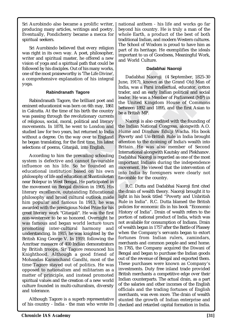Sri Aurobindo also became a prolific writer, producing many articles, writings and poetry. Eventually, Pondicherry became a mecca for spiritual seekers.

Sri Aurobindo believed that every religion was right in its own way. A poet, philosopher, writer and spiritual master, he offered a new vision of yoga and a spiritual path that could be followed by his disciples. Out of his many works, one of the most praiseworthy is 'The Life Divine', a comprehensive explanation of his integral yoga.

# **Rabindranath Tagore**

Rabindranath Tagore, the brilliant poet and eminent educationist was born on 6th may, 1861 in Calcutta. At the time of his birth the country was passing through the revolutionary currents of religious, social, moral, political and literary movements. In 1878, he went to London and studied law for two years, but returned to India without a degree. On the way over to England he began translating, for the first time, his latest selections of poems, Gitanjali, into English.

one of the most praise<br>worthy is The Life Divine". The Dadabhai Naoroji (4 a comprehensive explanation of his integral<br>prosecular transmit and the system and the system and the most include the redictional Rajor<br>and Hall ramous and began world reception<br>moting inter-cultural harm<br>rstanding. In 1915, he was knigs<br>sh King George V. In 1919, folitsar massacre of 400 Indian der<br>ritish troops, Sir Tagore reno<br>shiftbood. Although a good<br>andas Ka ramous and began world rection<br>
noting inter-cultural harm<br>
rstanding. In 1915, he was knigh<br>
th King George V. In 1919, foll<br>
tsar massacre of 400 Indian den<br>
ritish troops, Sir Tagore reno<br>
hthood. Although a good<br>
andas According to him the prevailing schooling system is defective and cannot favourable influence on his life. So he founded an educational institution based on his own philosophy of life and education at Shantiniketan near Bolepur in West Bengal. He participated in the movement on Bengal division in 1905. His literary excellence, outstanding Educational philosophy and broad cultural outlook made him popular and famous In 1913, he was awarded with the prestigious Nobel Prize for his great literary work "Gitanjali". He was the first non-westerner to be so honored. Overnight he was famous and began world lecture tours promoting inter-cultural harmony and understanding. In 1915, he was knighted by the British King George V. In 1919, following the Amritsar massacre of 400 Indian demonstrators by British troops, Sir Tagore renounced his Knighthood. Although a good friend of Mohandas Karamchand Gandhi, most of the time Tagore stayed out of politics. He was opposed to nationalism and militarism as a matter of principle, and instead promoted spiritual values and the creation of a new world culture founded in multi-culturalism, diversity and tolerance.

Although Tagore is a superb representative of his country - India - the man who wrote its national anthem - his life and works go far beyond his country. He is truly a man of the whole Earth, a product of the best of both traditional Indian, and modern Western cultures. The School of Wisdom is proud to have him as part of its heritage. He exemplifies the ideals important to us of Goodness, Meaningful Work, and World Culture.

# **Dadabhai Naoroji**

Dadabhai Naoroji (4 September, 1825-30 June, 1917), known as the Grand Old Man of India, was a Parsi intellectual, educator, cotton trader, and an early Indian political and social leader. He was a Member of Parliament (MP) in the United Kingdom House of Commons between 1892 and 1895, and the first Asian to be a British MP.

orthy is 'The Life Divine',<br>
anation of his integral<br>
Imag. 1917), known as the<br>
Imag. was a Parsi intellect<br>
rader, and an early Indian<br>
as born on 6th may, 1861<br>
leader. He was a Member of<br>
the United Kingdom Host of his Fractrick and a mean and political and solid Man of<br>
The state of the state of the state of the state of the state of the state of the state of the United State and a state of Commons<br>
in 6th may, 1861<br>
The United Kingdom Naoroji is also credited with the founding of the Indian National Congress, alongwith A.O. Hume and Dinshaw Edulji Wacha. His book Poverty and Un-British Rule in India brought attention to the draining of India's wealth into Britain. He was also member of Second International alongwith Kautsky and Plekhanov. Dadabhai Naoroji is regarded as one of the most important Indians during the independence movement. He viewed that the intervention of into India by foreigners were clearly not favorable for the country.

R.C. Dutta and Dadabhai Naoroji first cited the drain of wealth theory. Naoroji brought it to light in his book titled "Poverty and Unbritish Rule in India". R.C. Dutta blamed the British policies for economic ills in his book "Economic History of India". Drain of wealth refers to the portion of national product of India, which was not available for consumption of Indians. Drain of wealth began in 1757 after the Battle of Plassey when the Company's servants began to extort fortunes from Indian rulers, zamindars, merchants and common people and send home. In 1765, the Company acquired the Diwani of Bengal and began to purchase the Indian goods out of the revenue of Bengal and exported them. These purchases were known as Company's investments. Duty free inland trade provided British merchants a competitive edge over their Indian counterparts. The actual drain, as a part of the salaries and other incomes of the English officials and the trading fortunes of English merchants, was even more. The drain of wealth stunted the growth of Indian enterprise and checked and retarded capital formation in India.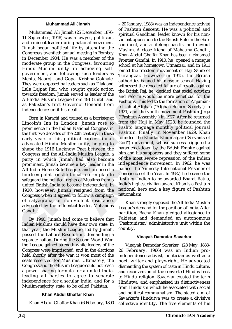#### **Muhammad Ali Jinnah**

Muhammad Ali Jinnah (25 December, 1876- 11 September, 1948) was a lawyer, politician, and eminent leader during national movement. Jinnah began political life by attending the Congress's twentieth annual meeting in Bombay in December 1904. He was a member of the moderate group in the Congress, favouring Hindu–Muslim unity in achieving selfgovernment, and following such leaders as Mehta, Naoroji, and Gopal Krishna Gokhale. They were opposed by leaders such as Tilak and Lala Lajpat Rai, who sought quick action towards freedom. Jinnah served as leader of the All-India Muslim League from 1913 until and as Pakistan's first Governor-General from independence until his death.

Hindu-Muslim unity in achieving self-<br>
Hindu-Muslim unity in achieving self-<br>
solined the freedom movem<br>
Nehta, Naoroji, and Goloral Krishna Gokhale. authorities banned bis most<br>
Nehta, Naoroji, and Gooral Krishna Gokhale Born in Karachi and trained as a barrister at Lincoln's Inn in London, Jinnah rose to prominence in the Indian National Congress in the first two decades of the 20th century. In these early years of his political career, Jinnah advocated Hindu–Muslim unity, helping to shape the 1916 Lucknow Pact between the Congress and the All-India Muslim League, a party in which Jinnah had also become prominent. Jinnah became a key leader in the All India Home Rule League, and proposed a fourteen-point constitutional reform plan to safeguard the political rights of Muslims from a united British India to become independent. In 1920, however, Jinnah resigned from the Congress when it agreed to follow a campaign of satyagraha, or non-violent resistance, advocated by the influential leader, Mohandas Gandhi.

*y* 1940, Jinnah had come to be<br>a Muslims should have their ow<br>*year*, the Muslim League, led l<br>d the Lahore Resolution, den<br>ate nation. During the Second W<br>eague gained strength while lea<br>ress were imprisoned, and in th<br>s The Union of the Muslim Should have their ownear, the Muslim League, led b<br>d the Lahore Resolution, dem<br>te nation. During the Second W<br>ague gained strength while lead<br>ress were imprisoned, and in the<br>shortly after the war, By 1940, Jinnah had come to believe that Indian Muslims should have their own state. In that year, the Muslim League, led by Jinnah, passed the Lahore Resolution, demanding a separate nation. During the Second World War, the League gained strength while leaders of the Congress were imprisoned, and in the elections held shortly after the war, it won most of the seats reserved for Muslims. Ultimately, the Congress and the Muslim League could not reach a power-sharing formula for a united India, leading all parties to agree to separate independence for a secular India, and for a Muslim-majority state, to be called Pakistan.

### **Khan Abdul Ghaffar Khan**

Khan Abdul Ghaffar Khan (6 February, 1890

From a chieving self-<br>
signal signal for the freedom movem of<br>
point and forecast as Turangzai. However in<br>
popal Krishna Gokhale.<br>
authorities banned his moss<br>
adders such as Tilak and<br>
sought quick action<br>
served as lead Leader of the British<br>
Sishna Gokhale<br>
ishna Gokhale<br>
ishna Gokhale<br>
ishna Gokhale<br>
internetties banned his mosque school. Having<br>
ishna Gokhale<br>
internetties banned his mosque school. Having<br>
1913 until and reform would – 20 January, 1988) was an independence activist of Pashtun descent. He was a political and spiritual Gandhian, leader known for his nonviolent opposition to the British Rule in the Subcontinent, and a lifelong pacifist and devout Muslim. A close friend of Mahatma Gandhi, Khan Abdul Ghaffar Khan has been nicknamed Frontier Gandhi. In 1910, he opened a mosque school at his hometown Utmanzai, and in 1911 joined the freedom movement of Haji Sahib of Turangzai. However in 1915, the British authorities banned his mosque school. Having witnessed the repeated failure of revolts against the British Raj, he decided that social activism and reform would be more beneficial for the Pashtuns. This led to the formation of Anjumane Islah al-Afghan ("Afghan Reform Society") in 1921, and the youth movement Pashtun Jirga ("Pashtun Assembly") in 1927. After he returned from the Hajj in May 1928, he founded the Pashto language monthly political journal Pashtun. Finally, in November 1929, Khan founded the Khudai Khidmatgar ("Servants of God") movement, whose success triggered a harsh crackdown by the British Empire against him and his supporters and they suffered some of the most severe repression of the Indian independence movement. In 1962, he was named the Amnesty International Prisoner of Conscience of the Year. In 1987, he became the first non-Indian to be awarded Bharat Ratna, India's highest civilian award. Khan is a Pashtun national hero and a key figure of Pashtun nationalism.

Khan strongly opposed the All-India Muslim League's demand for the partition of India. After partition, Bacha Khan pledged allegiance to Pakistan and demanded an autonomous "Pashtunistan" administrative unit within the country.

#### **Vinayak Damodar Savarkar**

Vinayak Damodar Savarkar (28 May, 1883- 26 February, 1966) was an Indian proindependence activist, politician as well as a poet, writer and playwright. He advocated dismantling the system of caste in Hindu culture, and reconversion of the converted Hindus back to Hindu religion. Savarkar created the term Hindutva, and emphasised its distinctiveness from Hinduism which he associated with social and political communalism. The stated aim of Savarkar's Hindutva was to create a divisive collective identity. The five elements of his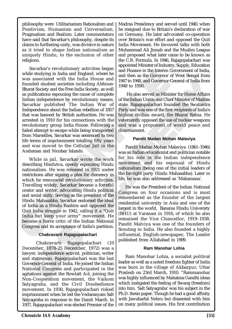philosophy were Utilitarianism Rationalism and Positivism, Humanism and Universalism, Pragmatism and Realism. Later commentators have said that Savarkar's philosophy, despite its claims to furthering unity, was divisive in nature as it tried to shape Indian nationalism as uniquely Hindu, to the exclusion of other religions.

while studying in India and England, where he measure in the measure of was associated with the India House and 1947 to 1948, and Governor-<br>Bhara Society and the Bindi Bruse and 1947 to 1948, and Governor-<br>Bhara Society a and England, where he and marker in the India House and<br>
the India House and<br>
ind then as the Governor-<br>
ties including Abhinav<br>
ing the cause of complete<br>
y revolutionary means.<br>
In the Indian War of Istate. Rajagopalacha Savarkar's revolutionary activities began while studying in India and England, where he was associated with the India House and founded student societies including Abhinav Bharat Society and the Free India Society, as well as publications espousing the cause of complete Indian independence by revolutionary means. Savarkar published The Indian War of Independence about the Indian rebellion of 1857 that was banned by British authorities. He was arrested in 1910 for his connections with the revolutionary group India House. Following a failed attempt to escape while being transported from Marseilles, Savarkar was sentenced to two life terms of imprisonment totalling fifty years and was moved to the Cellular Jail in the Andaman and Nicobar Islands.

While in jail, Savarkar wrote the work describing Hindutva, openly espousing Hindu nationalism. He was released in 1921 under restrictions after signing a plea for clemency in which he renounced revolutionary activities. Travelling widely, Savarkar became a forceful orator and writer, advocating Hindu political and social unity. Serving as the president of the Hindu Mahasabha, Savarkar endorsed the ideal of India as a Hindu Rashtra and opposed the Quit India struggle in 1942, calling it a "Quit India but keep your army" movement. He became a fierce critic of the Indian National Congress and its acceptance of India's partition.

### **Chakravarti Rajagopalachari**

gress and its acceptance of India<br> **Chakravarti Rajagopalach**<br>
Chakravarti Rajagopalac<br>
ember, 1878-25 December, 19<br>
er, independence activist, politi<br>
statesman. Rajagopalachari w<br>
ernor-General of India. He joined<br>
onal ress and its acceptance of India':<br> **Chakravarti Rajagopalacha**<br>
Chakravarti Rajagopalach<br>
mber, 1878-25 December, 19<br>
er, independence activist, politic<br>
statesman. Rajagopalachari wa<br>
rmor-General of India. He joined<br>
on Chakravarti Rajagopalachari (10 December, 1878-25 December, 1972) was a lawyer, independence activist, politician, writer and statesman. Rajagopalachari was the last Governor-General of India. He joined the Indian National Congress and participated in the agitations against the Rowlatt Act, joining the Non-Cooperation movement, the Vaikom Satyagraha, and the Civil Disobedience movement. In 1930, Rajagopalachari risked imprisonment when he led the Vedaranyam Salt Satyagraha in response to the Dandi March. In 1937, Rajagopalachari was elected Premier of the Madras Presidency and served until 1940, when he resigned due to Britain's declaration of war on Germany. He later advocated co-operation over Britain's war effort and opposed the Quit India Movement. He favoured talks with both Muhammad Ali Jinnah and the Muslim League and proposed what later came to be known as the C.R. Formula. In 1946, Rajagopalachari was appointed Minister of Industry, Supply, Education and Finance in the Interim Government of India, and then as the Governor of West Bengal from 1947 to 1948, and Governor-General of India from 1948 to 1950.

21 House and<br>
a Society, as well<br>
luding Abhinav<br>
a Society, as well<br>
1948 to 1950.<br>
House of complete<br>
the also served as Minister for Home Affairs<br>
and Society, as well<br>  $\frac{1948 \text{ to 1950}}{194 \text{ to 1857}}$ <br>  $\frac{1948 \text{ to 19$  He also served as Minister for Home Affairs of the Indian Union and Chief Minister of Madras state. Rajagopalachari founded the Swatantra Party and was one of the first recipients of India's highest civilian award, the Bharat Ratna. He vehemently opposed the use of nuclear weapons and was a proponent of world peace and disarmament.

### **Pandit Madan Mohan Malaviya**

Pandit Madan Mohan Malaviya (1861–1946) was an Indian educationist and politician notable for his role in the Indian independence movement and his espousal of Hindu nationalism (being one of the initial leaders of the far-right party Hindu Mahasabha). Later in life, he was also addressed as 'Mahamana'.

He was the President of the Indian National Congress on four occasions and is most remembered as the founder of the largest residential university in Asia and one of the largest in the world, Banaras Hindu University (BHU) at Varanasi in 1916, of which he also remained the Vice Chancellor, 1919–1938. Pandit Malviya was one of the founders of Scouting in India. He also founded a highly influential, English-newspaper, The Leader published from Allahabad in 1909.

### **Ram Manohar Lohia**

Ram Manohar Lohia, a socialist political leader as well as a noted freedom fighter of India was born in the village of Akbarpur, Uttar Pradesh on 23rd March, 1910. "Rammanohar was highly influenced by Mahatma Gandhi ideas which instigated the feeling of Swaraj (freedom) into him. 'Salt Satyagraha' was his subject in the Ph.D. thesis paper. Though he had a good affinity with Jawaharlal Nehru but dissented with him on many political issues. His first contribution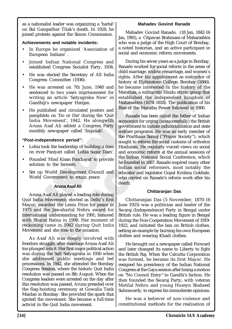as a nationalist leader was organizing a 'hartal' on Bal Gangadhar Tilak's death. In 1928, he joined protests against the Simon Commission.

### **Achievements and notable incidents:**

- In Europe he organized 'Association of European Indians' .
- Joined Indian National Congress and established Congress Socialist Party, 1934.
- He was elected the Secretary of All India Congress Committee (1936).
- He was arrested on 7th June, 1940 and sentenced to two years imprisonment for writing an article 'Satyagraha Now' in Gandhiji's newspaper Harijan.
- He published and circulated posters and pamphlets on 'Do or Die' during the 'Quit India Movement', 1942. He alongwith Aruna Asaf Ali edited a Congress Party monthly newspaper called 'Inquilab'.

# **"Post-independence period'':**

- Lohia took the leadership of building a dam on river Paniyari called 'Lohia Sagar Dam'.
- Founded 'Hind Kisan Panchayat' to provide solution to the farmers.
- Set up World Development Council and World Government to retain peace.

### **Aruna Asaf Ali**

Aruna Asaf Ali played a leading role during Quit India Movement; elected as Delhi's first Mayor; awarded the Lenin Prize for peace in 1975 and the Jawaharlal Nehru award for International understanding for 1991; honored with Bharat Ratna in 1998. Her moment of reckoning came in 1942 during Quit India Movement and she rose to the occasion.

Bharat Ratna in 1998. Her m<br>ning came in 1942 during  $\zeta$ <br>ment and she rose to the occasi<br>s Asaf Ali was deeply invol<br>om struggle, after marriage Arur<br>unged into it. Her first major poli<br>luring the Salt Satyagraha in 1<br>ad Bharat Ratna in 1998. Her m<br>ning came in 1942 during Q<br>ment and she rose to the occasion<br>is Asaf Ali was deeply involum struggle, after marriage Aruna<br>unged into it. Her first major polit<br>luring the Salt Satyagraha in 19<br>i As Asaf Ali was deeply involved with freedom struggle, after marriage Aruna Asaf Ali too plunged into it. Her first major political action was during the Salt Satyagraha in 1930 when she addressed public meetings and led processions. In 1942, she attended the Bombay Congress Session, where the historic Quit India resolution was passed on 8th August. When the Congress leaders were arrested on the day after this resolution was passed, Aruna presided over the flag-hoisting ceremony at Gowalia Tank Maidan in Bombay. She provided the spark that ignited the movement. She became a full-time activist in the Quit India movement.

# **Mahadev Govind Ranade**

Mahadev Govind Ranade, (18 Jan, 1842-16 Jan, 1901), a Citpavan Brahmans of Maharashtra who was a judge of the High Court of Bombay, a noted historian, and an active participant in social and economic reform movements.

During his seven years as a judge in Bombay, Ranade worked for social reform in the areas of child marriage, widow remarriage, and women's rights. After his appointment as instructor of history at Elphinstone College, Bombay (1866), he became interested in the history of the Marathas, a militaristic Hindu ethnic group that established the independent kingdom of Maharashtra (1674–1818). The publication of his Rise of the Maratha Power followed in 1900.

established Congress Socialist Party, 1934. Kanade worked tor social registary of All India conditions are the Secret of two years. Committee (1938).<br>
Congress Committee (1938).<br>
Even as arrested on 7th June, 1940 and he b Socialist Party, 1934. Ranade worked for social re-<br>
Secretary of All India rights. After his appointment<br>
e (1936).<br>
In Story at Elphinstone Colle history at Elphinstone Colle history at Elphinstone Colle hears imprisonme From a languary of All India<br>
11 rights. After his appointment as instructor of<br>
the became interested in the history of the<br>
perisonment for beaten interested in the history of the<br>
perisonment for the alternative intere Ranade has been called the father of Indian economics for urging (unsuccessfully) the British government to initiate industrialization and state welfare programs. He was an early member of the Prarthana Samaj ("Prayer Society"), which sought to reform the social customs of orthodox Hinduism. He regularly voiced views on social and economic reform at the annual sessions of the Indian National Social Conference, which he founded in 1887. Ranade inspired many other Indian social reformers, most notably the educator and legislator Gopal Krishna Gokhale, who carried on Ranade's reform work after his death.

### **Chittaranjan Das**

Chittaranjan Das (5 November, 1870-16 June 1925) was a politician and leader of the Swaraj (Independence) Party in Bengal under British rule. He was a leading figure in Bengal during the Non-Cooperation Movement of 1919- 1922, and initiated the ban on British clothes, setting an example by burning his own European clothes and wearing Khadi clothes.

He brought out a newspaper called Forward and later changed its name to Liberty to fight the British Raj. When the Calcutta Corporation was formed, he became its first Mayor. He resigned his presidency of the Indian National Congress at the Gaya session after losing a motion on "No Council Entry" to Gandhi's faction. He then founded the Swaraj Party, with veteran Motilal Nehru and young Huseyn Shaheed Suhrawardy, to express his immoderate opinions.

He was a believer of non-violence and constitutional methods for the realisation of